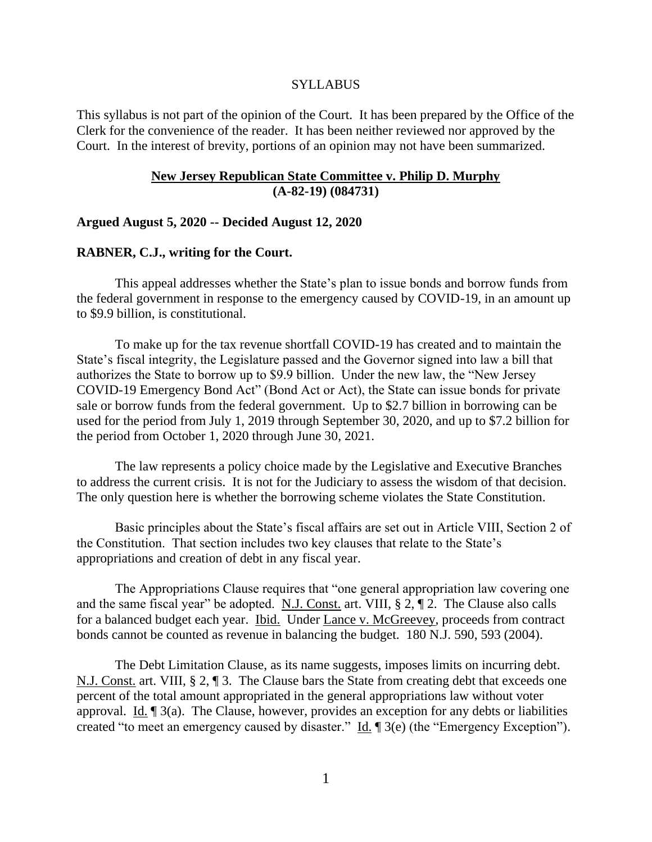#### SYLLABUS

This syllabus is not part of the opinion of the Court. It has been prepared by the Office of the Clerk for the convenience of the reader. It has been neither reviewed nor approved by the Court. In the interest of brevity, portions of an opinion may not have been summarized.

# **New Jersey Republican State Committee v. Philip D. Murphy (A-82-19) (084731)**

## **Argued August 5, 2020 -- Decided August 12, 2020**

#### **RABNER, C.J., writing for the Court.**

This appeal addresses whether the State's plan to issue bonds and borrow funds from the federal government in response to the emergency caused by COVID-19, in an amount up to \$9.9 billion, is constitutional.

To make up for the tax revenue shortfall COVID-19 has created and to maintain the State's fiscal integrity, the Legislature passed and the Governor signed into law a bill that authorizes the State to borrow up to \$9.9 billion. Under the new law, the "New Jersey COVID-19 Emergency Bond Act" (Bond Act or Act), the State can issue bonds for private sale or borrow funds from the federal government. Up to \$2.7 billion in borrowing can be used for the period from July 1, 2019 through September 30, 2020, and up to \$7.2 billion for the period from October 1, 2020 through June 30, 2021.

The law represents a policy choice made by the Legislative and Executive Branches to address the current crisis. It is not for the Judiciary to assess the wisdom of that decision. The only question here is whether the borrowing scheme violates the State Constitution.

Basic principles about the State's fiscal affairs are set out in Article VIII, Section 2 of the Constitution. That section includes two key clauses that relate to the State's appropriations and creation of debt in any fiscal year.

The Appropriations Clause requires that "one general appropriation law covering one and the same fiscal year" be adopted. N.J. Const. art. VIII, § 2, ¶ 2. The Clause also calls for a balanced budget each year. Ibid. Under Lance v. McGreevey, proceeds from contract bonds cannot be counted as revenue in balancing the budget. 180 N.J. 590, 593 (2004).

The Debt Limitation Clause, as its name suggests, imposes limits on incurring debt. N.J. Const. art. VIII, § 2, ¶ 3. The Clause bars the State from creating debt that exceeds one percent of the total amount appropriated in the general appropriations law without voter approval. Id. ¶ 3(a). The Clause, however, provides an exception for any debts or liabilities created "to meet an emergency caused by disaster." Id. ¶ 3(e) (the "Emergency Exception").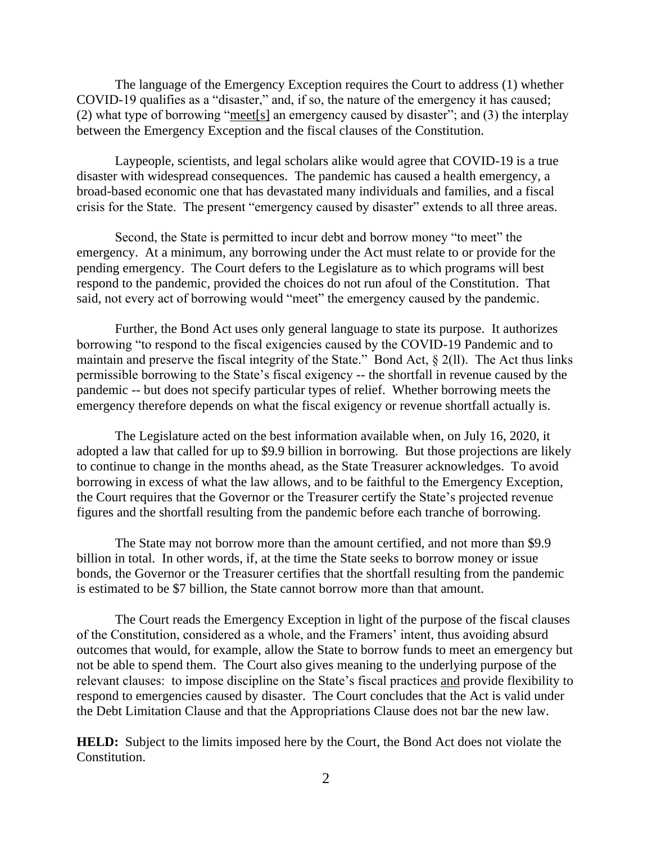The language of the Emergency Exception requires the Court to address (1) whether COVID-19 qualifies as a "disaster," and, if so, the nature of the emergency it has caused; (2) what type of borrowing "meet[s] an emergency caused by disaster"; and (3) the interplay between the Emergency Exception and the fiscal clauses of the Constitution.

Laypeople, scientists, and legal scholars alike would agree that COVID-19 is a true disaster with widespread consequences. The pandemic has caused a health emergency, a broad-based economic one that has devastated many individuals and families, and a fiscal crisis for the State. The present "emergency caused by disaster" extends to all three areas.

Second, the State is permitted to incur debt and borrow money "to meet" the emergency. At a minimum, any borrowing under the Act must relate to or provide for the pending emergency. The Court defers to the Legislature as to which programs will best respond to the pandemic, provided the choices do not run afoul of the Constitution. That said, not every act of borrowing would "meet" the emergency caused by the pandemic.

Further, the Bond Act uses only general language to state its purpose. It authorizes borrowing "to respond to the fiscal exigencies caused by the COVID-19 Pandemic and to maintain and preserve the fiscal integrity of the State." Bond Act, § 2(ll). The Act thus links permissible borrowing to the State's fiscal exigency -- the shortfall in revenue caused by the pandemic -- but does not specify particular types of relief. Whether borrowing meets the emergency therefore depends on what the fiscal exigency or revenue shortfall actually is.

The Legislature acted on the best information available when, on July 16, 2020, it adopted a law that called for up to \$9.9 billion in borrowing. But those projections are likely to continue to change in the months ahead, as the State Treasurer acknowledges. To avoid borrowing in excess of what the law allows, and to be faithful to the Emergency Exception, the Court requires that the Governor or the Treasurer certify the State's projected revenue figures and the shortfall resulting from the pandemic before each tranche of borrowing.

The State may not borrow more than the amount certified, and not more than \$9.9 billion in total. In other words, if, at the time the State seeks to borrow money or issue bonds, the Governor or the Treasurer certifies that the shortfall resulting from the pandemic is estimated to be \$7 billion, the State cannot borrow more than that amount.

The Court reads the Emergency Exception in light of the purpose of the fiscal clauses of the Constitution, considered as a whole, and the Framers' intent, thus avoiding absurd outcomes that would, for example, allow the State to borrow funds to meet an emergency but not be able to spend them. The Court also gives meaning to the underlying purpose of the relevant clauses: to impose discipline on the State's fiscal practices and provide flexibility to respond to emergencies caused by disaster. The Court concludes that the Act is valid under the Debt Limitation Clause and that the Appropriations Clause does not bar the new law.

**HELD:** Subject to the limits imposed here by the Court, the Bond Act does not violate the Constitution.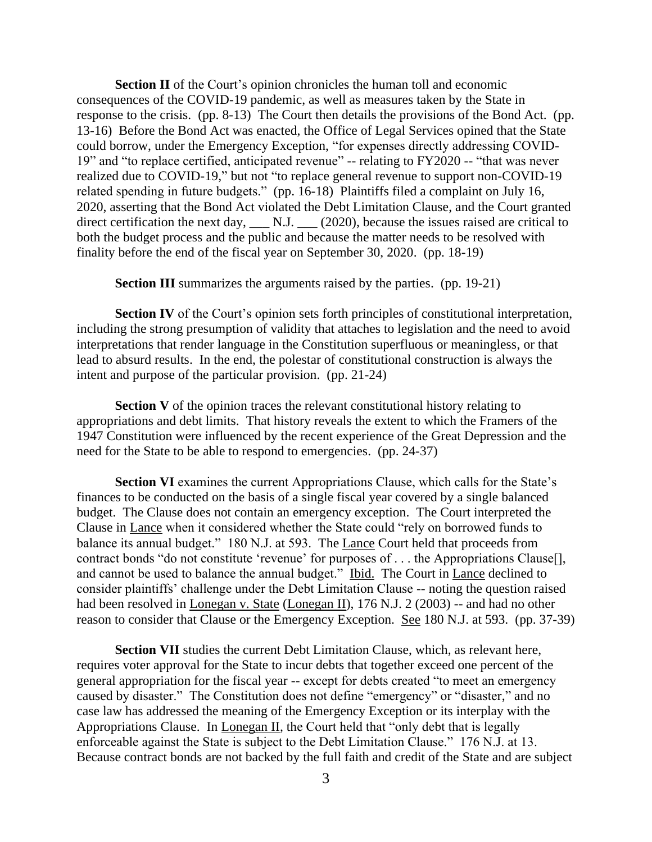**Section II** of the Court's opinion chronicles the human toll and economic consequences of the COVID-19 pandemic, as well as measures taken by the State in response to the crisis. (pp. 8-13) The Court then details the provisions of the Bond Act. (pp. 13-16) Before the Bond Act was enacted, the Office of Legal Services opined that the State could borrow, under the Emergency Exception, "for expenses directly addressing COVID-19" and "to replace certified, anticipated revenue" -- relating to FY2020 -- "that was never realized due to COVID-19," but not "to replace general revenue to support non-COVID-19 related spending in future budgets." (pp. 16-18) Plaintiffs filed a complaint on July 16, 2020, asserting that the Bond Act violated the Debt Limitation Clause, and the Court granted direct certification the next day,  $\qquad N.J.$   $\qquad (2020)$ , because the issues raised are critical to both the budget process and the public and because the matter needs to be resolved with finality before the end of the fiscal year on September 30, 2020. (pp. 18-19)

**Section III** summarizes the arguments raised by the parties. (pp. 19-21)

**Section IV** of the Court's opinion sets forth principles of constitutional interpretation, including the strong presumption of validity that attaches to legislation and the need to avoid interpretations that render language in the Constitution superfluous or meaningless, or that lead to absurd results. In the end, the polestar of constitutional construction is always the intent and purpose of the particular provision. (pp. 21-24)

**Section V** of the opinion traces the relevant constitutional history relating to appropriations and debt limits. That history reveals the extent to which the Framers of the 1947 Constitution were influenced by the recent experience of the Great Depression and the need for the State to be able to respond to emergencies. (pp. 24-37)

**Section VI** examines the current Appropriations Clause, which calls for the State's finances to be conducted on the basis of a single fiscal year covered by a single balanced budget. The Clause does not contain an emergency exception. The Court interpreted the Clause in Lance when it considered whether the State could "rely on borrowed funds to balance its annual budget." 180 N.J. at 593. The Lance Court held that proceeds from contract bonds "do not constitute 'revenue' for purposes of . . . the Appropriations Clause[], and cannot be used to balance the annual budget." Ibid. The Court in Lance declined to consider plaintiffs' challenge under the Debt Limitation Clause -- noting the question raised had been resolved in Lonegan v. State (Lonegan II), 176 N.J. 2 (2003) -- and had no other reason to consider that Clause or the Emergency Exception. See 180 N.J. at 593. (pp. 37-39)

**Section VII** studies the current Debt Limitation Clause, which, as relevant here, requires voter approval for the State to incur debts that together exceed one percent of the general appropriation for the fiscal year -- except for debts created "to meet an emergency caused by disaster." The Constitution does not define "emergency" or "disaster," and no case law has addressed the meaning of the Emergency Exception or its interplay with the Appropriations Clause. In Lonegan II, the Court held that "only debt that is legally enforceable against the State is subject to the Debt Limitation Clause." 176 N.J. at 13. Because contract bonds are not backed by the full faith and credit of the State and are subject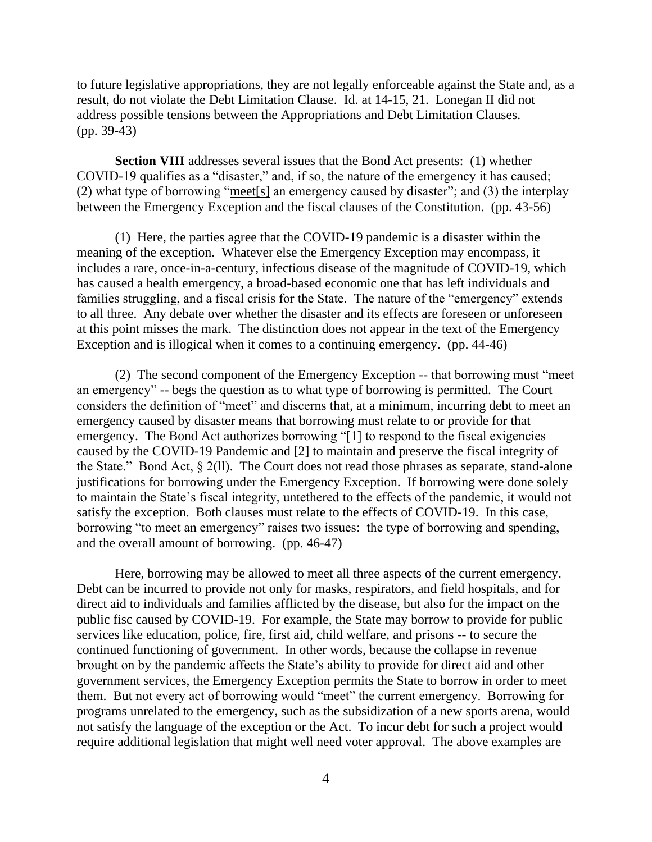to future legislative appropriations, they are not legally enforceable against the State and, as a result, do not violate the Debt Limitation Clause. Id. at 14-15, 21. Lonegan II did not address possible tensions between the Appropriations and Debt Limitation Clauses. (pp. 39-43)

**Section VIII** addresses several issues that the Bond Act presents: (1) whether COVID-19 qualifies as a "disaster," and, if so, the nature of the emergency it has caused; (2) what type of borrowing "meet[s] an emergency caused by disaster"; and (3) the interplay between the Emergency Exception and the fiscal clauses of the Constitution. (pp. 43-56)

(1) Here, the parties agree that the COVID-19 pandemic is a disaster within the meaning of the exception. Whatever else the Emergency Exception may encompass, it includes a rare, once-in-a-century, infectious disease of the magnitude of COVID-19, which has caused a health emergency, a broad-based economic one that has left individuals and families struggling, and a fiscal crisis for the State. The nature of the "emergency" extends to all three. Any debate over whether the disaster and its effects are foreseen or unforeseen at this point misses the mark. The distinction does not appear in the text of the Emergency Exception and is illogical when it comes to a continuing emergency. (pp. 44-46)

(2) The second component of the Emergency Exception -- that borrowing must "meet an emergency" -- begs the question as to what type of borrowing is permitted. The Court considers the definition of "meet" and discerns that, at a minimum, incurring debt to meet an emergency caused by disaster means that borrowing must relate to or provide for that emergency. The Bond Act authorizes borrowing "[1] to respond to the fiscal exigencies caused by the COVID-19 Pandemic and [2] to maintain and preserve the fiscal integrity of the State." Bond Act, § 2(ll). The Court does not read those phrases as separate, stand-alone justifications for borrowing under the Emergency Exception. If borrowing were done solely to maintain the State's fiscal integrity, untethered to the effects of the pandemic, it would not satisfy the exception. Both clauses must relate to the effects of COVID-19. In this case, borrowing "to meet an emergency" raises two issues: the type of borrowing and spending, and the overall amount of borrowing. (pp. 46-47)

Here, borrowing may be allowed to meet all three aspects of the current emergency. Debt can be incurred to provide not only for masks, respirators, and field hospitals, and for direct aid to individuals and families afflicted by the disease, but also for the impact on the public fisc caused by COVID-19. For example, the State may borrow to provide for public services like education, police, fire, first aid, child welfare, and prisons -- to secure the continued functioning of government. In other words, because the collapse in revenue brought on by the pandemic affects the State's ability to provide for direct aid and other government services, the Emergency Exception permits the State to borrow in order to meet them. But not every act of borrowing would "meet" the current emergency. Borrowing for programs unrelated to the emergency, such as the subsidization of a new sports arena, would not satisfy the language of the exception or the Act. To incur debt for such a project would require additional legislation that might well need voter approval. The above examples are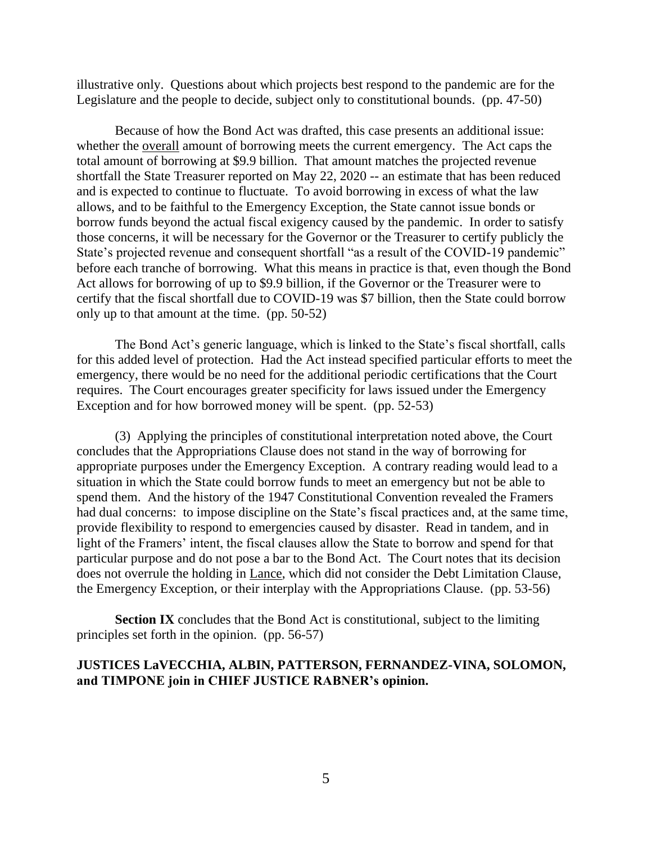illustrative only. Questions about which projects best respond to the pandemic are for the Legislature and the people to decide, subject only to constitutional bounds. (pp. 47-50)

Because of how the Bond Act was drafted, this case presents an additional issue: whether the overall amount of borrowing meets the current emergency. The Act caps the total amount of borrowing at \$9.9 billion. That amount matches the projected revenue shortfall the State Treasurer reported on May 22, 2020 -- an estimate that has been reduced and is expected to continue to fluctuate. To avoid borrowing in excess of what the law allows, and to be faithful to the Emergency Exception, the State cannot issue bonds or borrow funds beyond the actual fiscal exigency caused by the pandemic. In order to satisfy those concerns, it will be necessary for the Governor or the Treasurer to certify publicly the State's projected revenue and consequent shortfall "as a result of the COVID-19 pandemic" before each tranche of borrowing. What this means in practice is that, even though the Bond Act allows for borrowing of up to \$9.9 billion, if the Governor or the Treasurer were to certify that the fiscal shortfall due to COVID-19 was \$7 billion, then the State could borrow only up to that amount at the time. (pp. 50-52)

The Bond Act's generic language, which is linked to the State's fiscal shortfall, calls for this added level of protection. Had the Act instead specified particular efforts to meet the emergency, there would be no need for the additional periodic certifications that the Court requires. The Court encourages greater specificity for laws issued under the Emergency Exception and for how borrowed money will be spent. (pp. 52-53)

(3) Applying the principles of constitutional interpretation noted above, the Court concludes that the Appropriations Clause does not stand in the way of borrowing for appropriate purposes under the Emergency Exception. A contrary reading would lead to a situation in which the State could borrow funds to meet an emergency but not be able to spend them. And the history of the 1947 Constitutional Convention revealed the Framers had dual concerns: to impose discipline on the State's fiscal practices and, at the same time, provide flexibility to respond to emergencies caused by disaster. Read in tandem, and in light of the Framers' intent, the fiscal clauses allow the State to borrow and spend for that particular purpose and do not pose a bar to the Bond Act. The Court notes that its decision does not overrule the holding in Lance, which did not consider the Debt Limitation Clause, the Emergency Exception, or their interplay with the Appropriations Clause. (pp. 53-56)

**Section IX** concludes that the Bond Act is constitutional, subject to the limiting principles set forth in the opinion. (pp. 56-57)

# **JUSTICES LaVECCHIA, ALBIN, PATTERSON, FERNANDEZ-VINA, SOLOMON, and TIMPONE join in CHIEF JUSTICE RABNER's opinion.**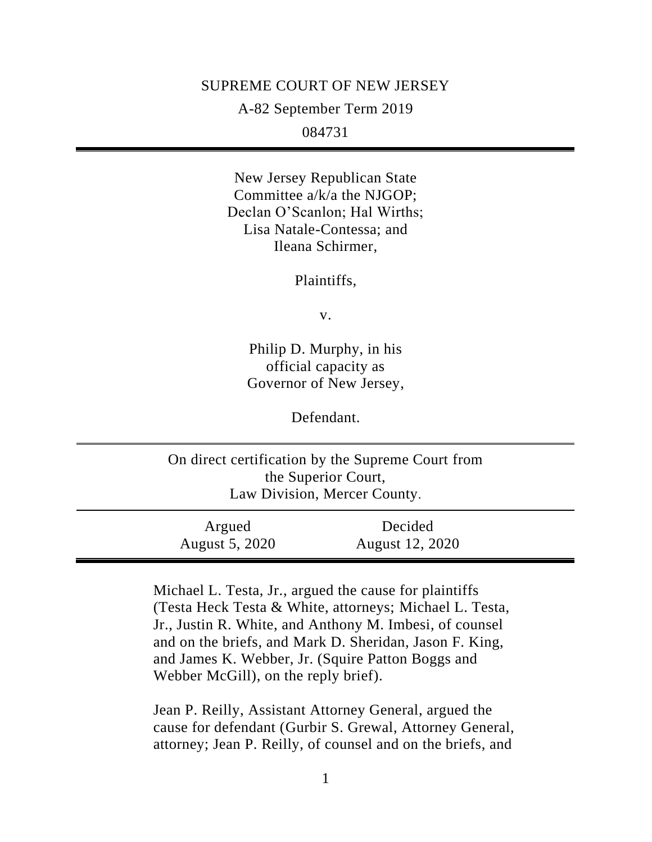### SUPREME COURT OF NEW JERSEY

A-82 September Term 2019

084731

New Jersey Republican State Committee a/k/a the NJGOP; Declan O'Scanlon; Hal Wirths; Lisa Natale-Contessa; and Ileana Schirmer,

Plaintiffs,

v.

Philip D. Murphy, in his official capacity as Governor of New Jersey,

Defendant.

On direct certification by the Supreme Court from the Superior Court, Law Division, Mercer County. Argued Decided

August 5, 2020 August 12, 2020

> Michael L. Testa, Jr., argued the cause for plaintiffs (Testa Heck Testa & White, attorneys; Michael L. Testa, Jr., Justin R. White, and Anthony M. Imbesi, of counsel and on the briefs, and Mark D. Sheridan, Jason F. King, and James K. Webber, Jr. (Squire Patton Boggs and Webber McGill), on the reply brief).

Jean P. Reilly, Assistant Attorney General, argued the cause for defendant (Gurbir S. Grewal, Attorney General, attorney; Jean P. Reilly, of counsel and on the briefs, and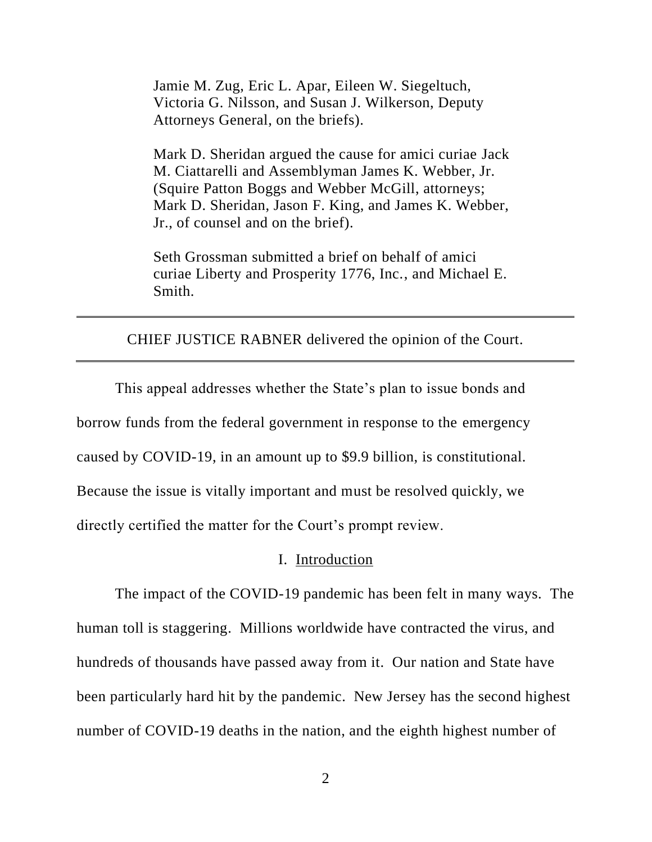Jamie M. Zug, Eric L. Apar, Eileen W. Siegeltuch, Victoria G. Nilsson, and Susan J. Wilkerson, Deputy Attorneys General, on the briefs).

Mark D. Sheridan argued the cause for amici curiae Jack M. Ciattarelli and Assemblyman James K. Webber, Jr. (Squire Patton Boggs and Webber McGill, attorneys; Mark D. Sheridan, Jason F. King, and James K. Webber, Jr., of counsel and on the brief).

Seth Grossman submitted a brief on behalf of amici curiae Liberty and Prosperity 1776, Inc., and Michael E. Smith.

CHIEF JUSTICE RABNER delivered the opinion of the Court.

This appeal addresses whether the State's plan to issue bonds and borrow funds from the federal government in response to the emergency caused by COVID-19, in an amount up to \$9.9 billion, is constitutional. Because the issue is vitally important and must be resolved quickly, we directly certified the matter for the Court's prompt review.

## I. Introduction

The impact of the COVID-19 pandemic has been felt in many ways. The human toll is staggering. Millions worldwide have contracted the virus, and hundreds of thousands have passed away from it. Our nation and State have been particularly hard hit by the pandemic. New Jersey has the second highest number of COVID-19 deaths in the nation, and the eighth highest number of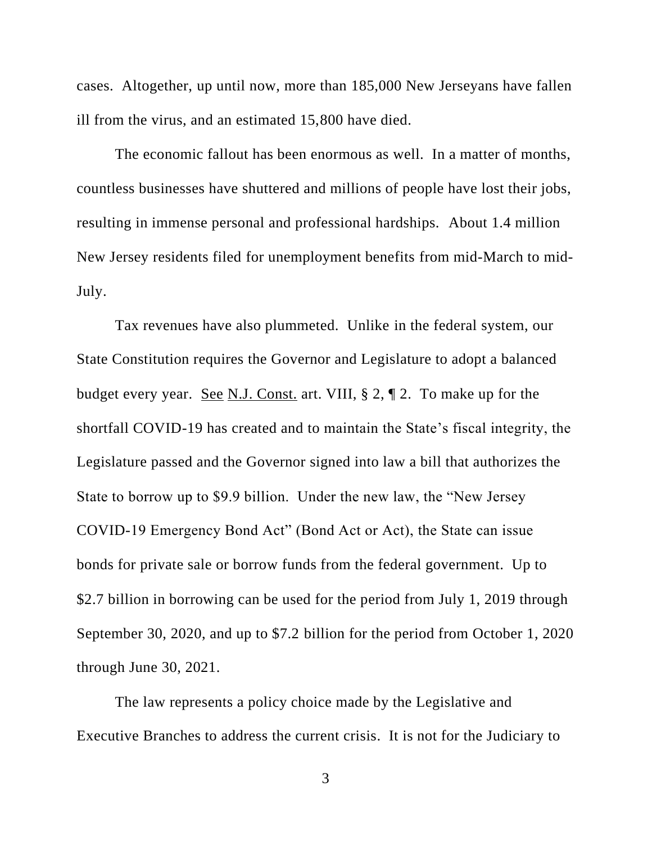cases. Altogether, up until now, more than 185,000 New Jerseyans have fallen ill from the virus, and an estimated 15,800 have died.

The economic fallout has been enormous as well. In a matter of months, countless businesses have shuttered and millions of people have lost their jobs, resulting in immense personal and professional hardships. About 1.4 million New Jersey residents filed for unemployment benefits from mid-March to mid-July.

Tax revenues have also plummeted. Unlike in the federal system, our State Constitution requires the Governor and Legislature to adopt a balanced budget every year. See N.J. Const. art. VIII, § 2, ¶ 2. To make up for the shortfall COVID-19 has created and to maintain the State's fiscal integrity, the Legislature passed and the Governor signed into law a bill that authorizes the State to borrow up to \$9.9 billion. Under the new law, the "New Jersey COVID-19 Emergency Bond Act" (Bond Act or Act), the State can issue bonds for private sale or borrow funds from the federal government. Up to \$2.7 billion in borrowing can be used for the period from July 1, 2019 through September 30, 2020, and up to \$7.2 billion for the period from October 1, 2020 through June 30, 2021.

The law represents a policy choice made by the Legislative and Executive Branches to address the current crisis. It is not for the Judiciary to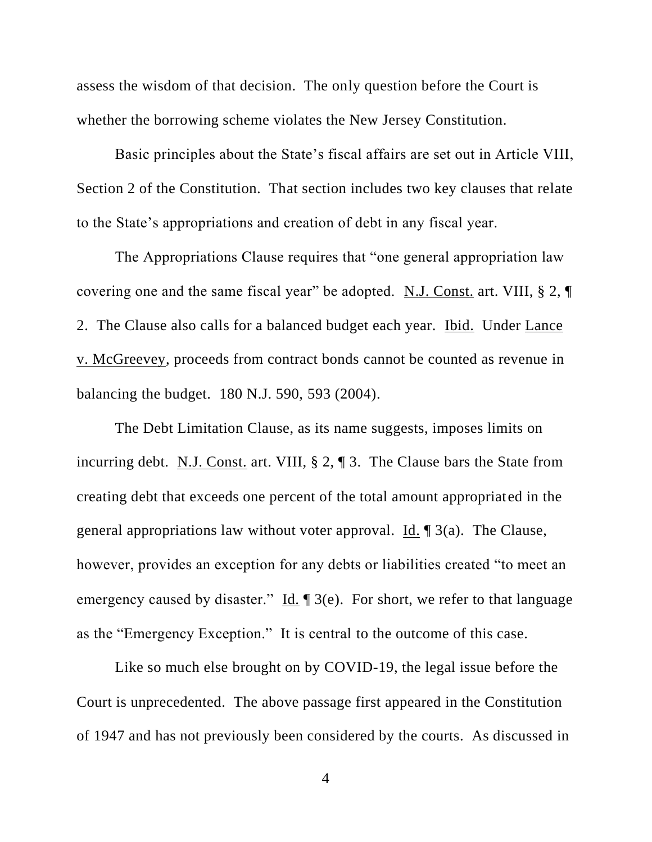assess the wisdom of that decision. The only question before the Court is whether the borrowing scheme violates the New Jersey Constitution.

Basic principles about the State's fiscal affairs are set out in Article VIII, Section 2 of the Constitution. That section includes two key clauses that relate to the State's appropriations and creation of debt in any fiscal year.

The Appropriations Clause requires that "one general appropriation law covering one and the same fiscal year" be adopted. N.J. Const. art. VIII, § 2, ¶ 2. The Clause also calls for a balanced budget each year. Ibid. Under Lance v. McGreevey, proceeds from contract bonds cannot be counted as revenue in balancing the budget. 180 N.J. 590, 593 (2004).

The Debt Limitation Clause, as its name suggests, imposes limits on incurring debt. N.J. Const. art. VIII, § 2, ¶ 3. The Clause bars the State from creating debt that exceeds one percent of the total amount appropriated in the general appropriations law without voter approval. <u>Id.</u>  $\left[ \frac{3}{a} \right]$ . The Clause, however, provides an exception for any debts or liabilities created "to meet an emergency caused by disaster."  $\underline{Id}$ .  $\P$  3(e). For short, we refer to that language as the "Emergency Exception." It is central to the outcome of this case.

Like so much else brought on by COVID-19, the legal issue before the Court is unprecedented. The above passage first appeared in the Constitution of 1947 and has not previously been considered by the courts. As discussed in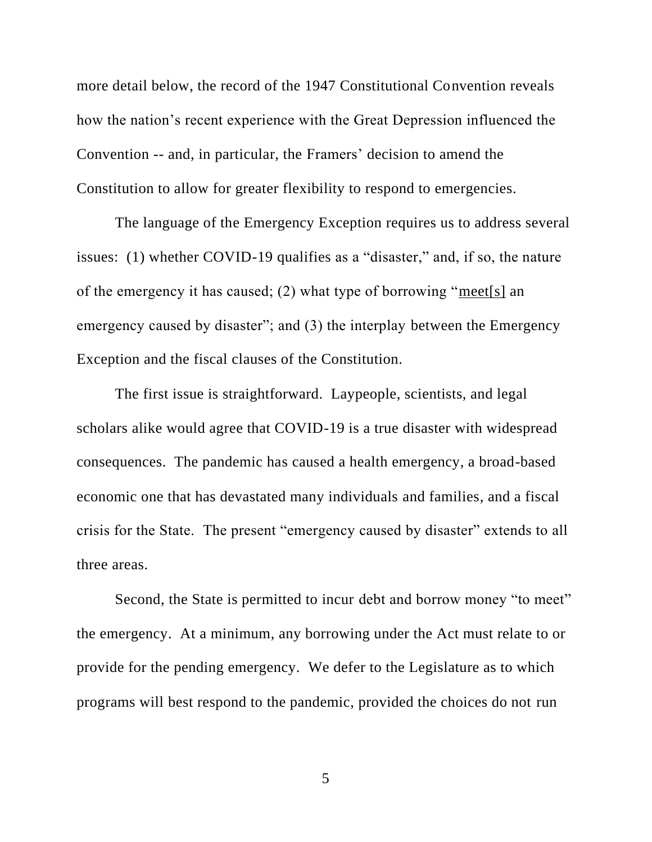more detail below, the record of the 1947 Constitutional Convention reveals how the nation's recent experience with the Great Depression influenced the Convention -- and, in particular, the Framers' decision to amend the Constitution to allow for greater flexibility to respond to emergencies.

The language of the Emergency Exception requires us to address several issues: (1) whether COVID-19 qualifies as a "disaster," and, if so, the nature of the emergency it has caused; (2) what type of borrowing "meet[s] an emergency caused by disaster"; and (3) the interplay between the Emergency Exception and the fiscal clauses of the Constitution.

The first issue is straightforward. Laypeople, scientists, and legal scholars alike would agree that COVID-19 is a true disaster with widespread consequences. The pandemic has caused a health emergency, a broad-based economic one that has devastated many individuals and families, and a fiscal crisis for the State. The present "emergency caused by disaster" extends to all three areas.

Second, the State is permitted to incur debt and borrow money "to meet" the emergency. At a minimum, any borrowing under the Act must relate to or provide for the pending emergency. We defer to the Legislature as to which programs will best respond to the pandemic, provided the choices do not run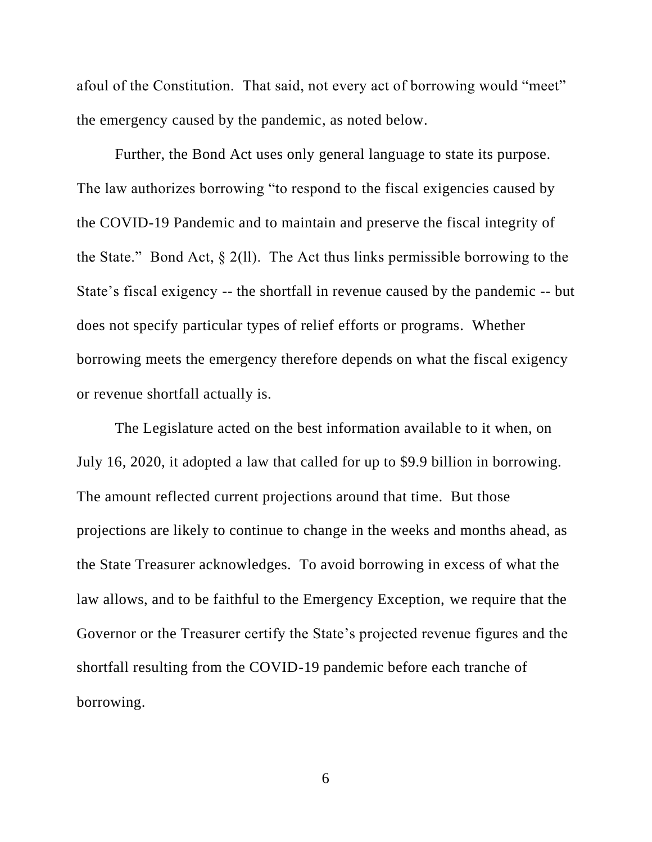afoul of the Constitution. That said, not every act of borrowing would "meet" the emergency caused by the pandemic, as noted below.

Further, the Bond Act uses only general language to state its purpose. The law authorizes borrowing "to respond to the fiscal exigencies caused by the COVID-19 Pandemic and to maintain and preserve the fiscal integrity of the State." Bond Act,  $\S 2(1)$ . The Act thus links permissible borrowing to the State's fiscal exigency -- the shortfall in revenue caused by the pandemic -- but does not specify particular types of relief efforts or programs. Whether borrowing meets the emergency therefore depends on what the fiscal exigency or revenue shortfall actually is.

The Legislature acted on the best information available to it when, on July 16, 2020, it adopted a law that called for up to \$9.9 billion in borrowing. The amount reflected current projections around that time. But those projections are likely to continue to change in the weeks and months ahead, as the State Treasurer acknowledges. To avoid borrowing in excess of what the law allows, and to be faithful to the Emergency Exception, we require that the Governor or the Treasurer certify the State's projected revenue figures and the shortfall resulting from the COVID-19 pandemic before each tranche of borrowing.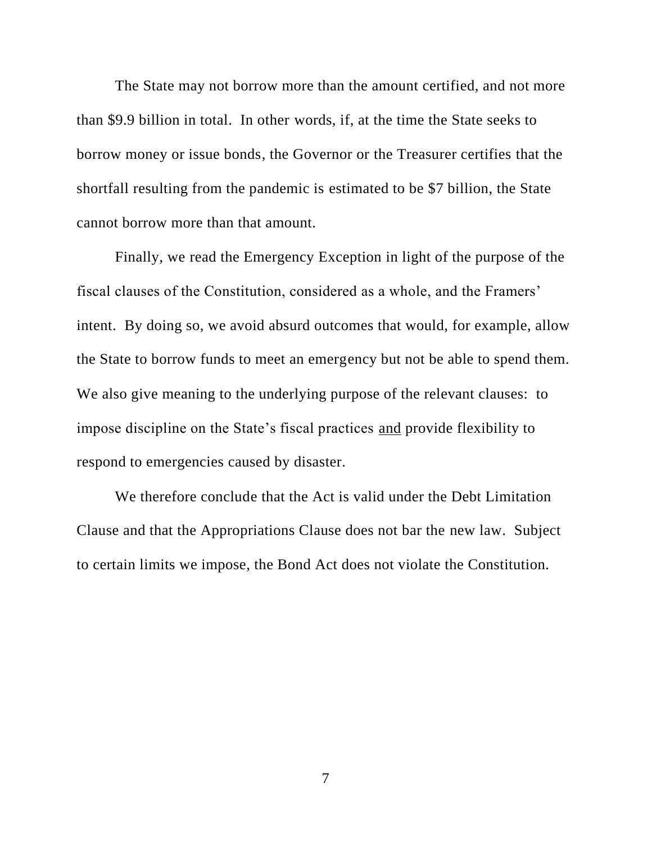The State may not borrow more than the amount certified, and not more than \$9.9 billion in total. In other words, if, at the time the State seeks to borrow money or issue bonds, the Governor or the Treasurer certifies that the shortfall resulting from the pandemic is estimated to be \$7 billion, the State cannot borrow more than that amount.

Finally, we read the Emergency Exception in light of the purpose of the fiscal clauses of the Constitution, considered as a whole, and the Framers' intent. By doing so, we avoid absurd outcomes that would, for example, allow the State to borrow funds to meet an emergency but not be able to spend them. We also give meaning to the underlying purpose of the relevant clauses: to impose discipline on the State's fiscal practices and provide flexibility to respond to emergencies caused by disaster.

We therefore conclude that the Act is valid under the Debt Limitation Clause and that the Appropriations Clause does not bar the new law. Subject to certain limits we impose, the Bond Act does not violate the Constitution.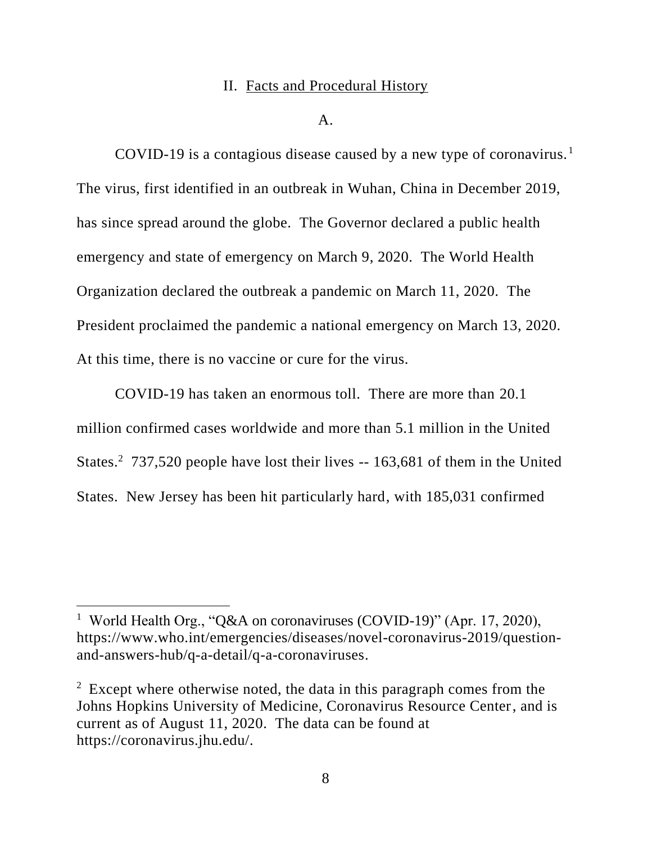### II. Facts and Procedural History

 $A<sub>1</sub>$ 

COVID-19 is a contagious disease caused by a new type of coronavirus.<sup>1</sup> The virus, first identified in an outbreak in Wuhan, China in December 2019, has since spread around the globe. The Governor declared a public health emergency and state of emergency on March 9, 2020. The World Health Organization declared the outbreak a pandemic on March 11, 2020. The President proclaimed the pandemic a national emergency on March 13, 2020. At this time, there is no vaccine or cure for the virus.

COVID-19 has taken an enormous toll. There are more than 20.1 million confirmed cases worldwide and more than 5.1 million in the United States.<sup>2</sup> 737,520 people have lost their lives -- 163,681 of them in the United States. New Jersey has been hit particularly hard, with 185,031 confirmed

<sup>&</sup>lt;sup>1</sup> World Health Org., "O&A on coronaviruses (COVID-19)" (Apr. 17, 2020), https://www.who.int/emergencies/diseases/novel-coronavirus-2019/questionand-answers-hub/q-a-detail/q-a-coronaviruses.

 $2$  Except where otherwise noted, the data in this paragraph comes from the Johns Hopkins University of Medicine, Coronavirus Resource Center, and is current as of August 11, 2020. The data can be found at https://coronavirus.jhu.edu/.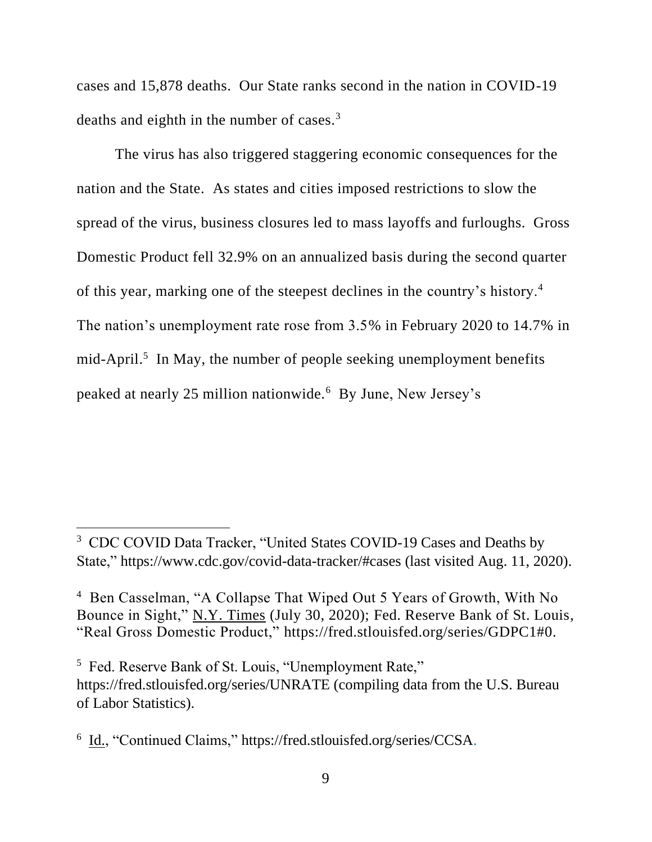cases and 15,878 deaths. Our State ranks second in the nation in COVID-19 deaths and eighth in the number of cases.<sup>3</sup>

The virus has also triggered staggering economic consequences for the nation and the State. As states and cities imposed restrictions to slow the spread of the virus, business closures led to mass layoffs and furloughs. Gross Domestic Product fell 32.9% on an annualized basis during the second quarter of this year, marking one of the steepest declines in the country's history.<sup>4</sup> The nation's unemployment rate rose from 3.5% in February 2020 to 14.7% in  $mid$ -April.<sup>5</sup> In May, the number of people seeking unemployment benefits peaked at nearly 25 million nationwide.<sup>6</sup> By June, New Jersey's

<sup>&</sup>lt;sup>3</sup> CDC COVID Data Tracker, "United States COVID-19 Cases and Deaths by State," https://www.cdc.gov/covid-data-tracker/#cases (last visited Aug. 11, 2020).

<sup>4</sup> Ben Casselman, "A Collapse That Wiped Out 5 Years of Growth, With No Bounce in Sight," N.Y. Times (July 30, 2020); Fed. Reserve Bank of St. Louis, "Real Gross Domestic Product," https://fred.stlouisfed.org/series/GDPC1#0.

<sup>&</sup>lt;sup>5</sup> Fed. Reserve Bank of St. Louis, "Unemployment Rate," https://fred.stlouisfed.org/series/UNRATE (compiling data from the U.S. Bureau of Labor Statistics).

<sup>&</sup>lt;sup>6</sup> Id., "Continued Claims," https://fred.stlouisfed.org/series/CCSA.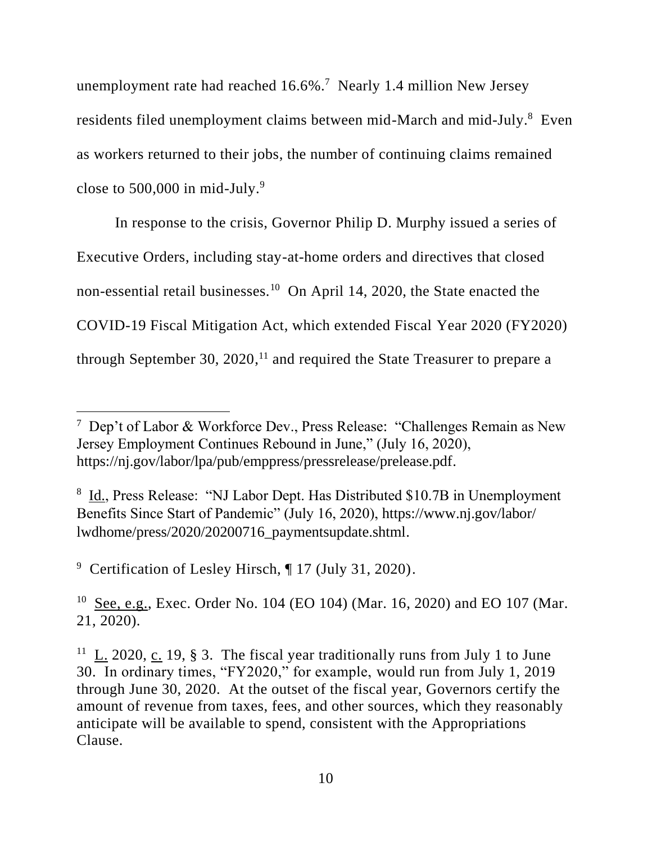unemployment rate had reached  $16.6\%$ .<sup>7</sup> Nearly 1.4 million New Jersey residents filed unemployment claims between mid-March and mid-July.<sup>8</sup> Even as workers returned to their jobs, the number of continuing claims remained close to  $500,000$  in mid-July.<sup>9</sup>

In response to the crisis, Governor Philip D. Murphy issued a series of Executive Orders, including stay-at-home orders and directives that closed non-essential retail businesses.<sup>10</sup> On April 14, 2020, the State enacted the COVID-19 Fiscal Mitigation Act, which extended Fiscal Year 2020 (FY2020) through September 30,  $2020$ ,<sup>11</sup> and required the State Treasurer to prepare a

<sup>9</sup> Certification of Lesley Hirsch, ¶ 17 (July 31, 2020).

<sup>10</sup> See, e.g., Exec. Order No. 104 (EO 104) (Mar. 16, 2020) and EO 107 (Mar. 21, 2020).

<sup>7</sup> Dep't of Labor & Workforce Dev., Press Release: "Challenges Remain as New Jersey Employment Continues Rebound in June," (July 16, 2020), https://nj.gov/labor/lpa/pub/emppress/pressrelease/prelease.pdf.

<sup>&</sup>lt;sup>8</sup> Id., Press Release: "NJ Labor Dept. Has Distributed \$10.7B in Unemployment Benefits Since Start of Pandemic" (July 16, 2020), https://www.nj.gov/labor/ lwdhome/press/2020/20200716\_paymentsupdate.shtml.

<sup>&</sup>lt;sup>11</sup> L. 2020, c. 19, § 3. The fiscal year traditionally runs from July 1 to June 30. In ordinary times, "FY2020," for example, would run from July 1, 2019 through June 30, 2020.At the outset of the fiscal year, Governors certify the amount of revenue from taxes, fees, and other sources, which they reasonably anticipate will be available to spend, consistent with the Appropriations Clause.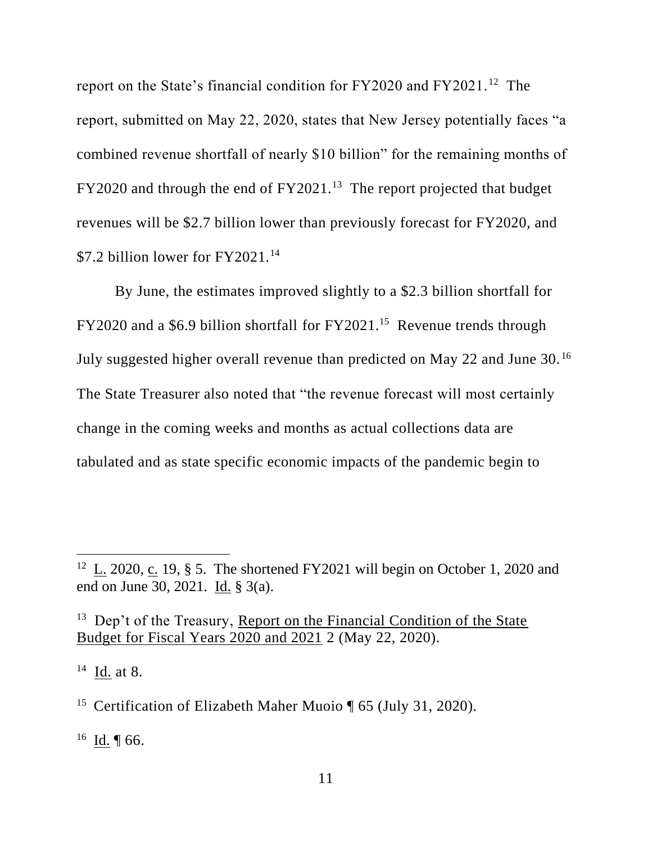report on the State's financial condition for FY2020 and FY2021.<sup>12</sup> The report, submitted on May 22, 2020, states that New Jersey potentially faces "a combined revenue shortfall of nearly \$10 billion" for the remaining months of  $FY2020$  and through the end of  $FY2021$ .<sup>13</sup> The report projected that budget revenues will be \$2.7 billion lower than previously forecast for FY2020, and \$7.2 billion lower for FY2021.<sup>14</sup>

By June, the estimates improved slightly to a \$2.3 billion shortfall for  $FY2020$  and a \$6.9 billion shortfall for  $FY2021$ .<sup>15</sup> Revenue trends through July suggested higher overall revenue than predicted on May 22 and June 30.<sup>16</sup> The State Treasurer also noted that "the revenue forecast will most certainly change in the coming weeks and months as actual collections data are tabulated and as state specific economic impacts of the pandemic begin to

 $^{16}$  **Id.** | 66.

<sup>&</sup>lt;sup>12</sup> L. 2020, c. 19, § 5. The shortened FY2021 will begin on October 1, 2020 and end on June 30, 2021. Id. § 3(a).

<sup>&</sup>lt;sup>13</sup> Dep't of the Treasury, Report on the Financial Condition of the State Budget for Fiscal Years 2020 and 2021 2 (May 22, 2020).

 $^{14}$  <u>Id.</u> at 8.

<sup>&</sup>lt;sup>15</sup> Certification of Elizabeth Maher Muoio ¶ 65 (July 31, 2020).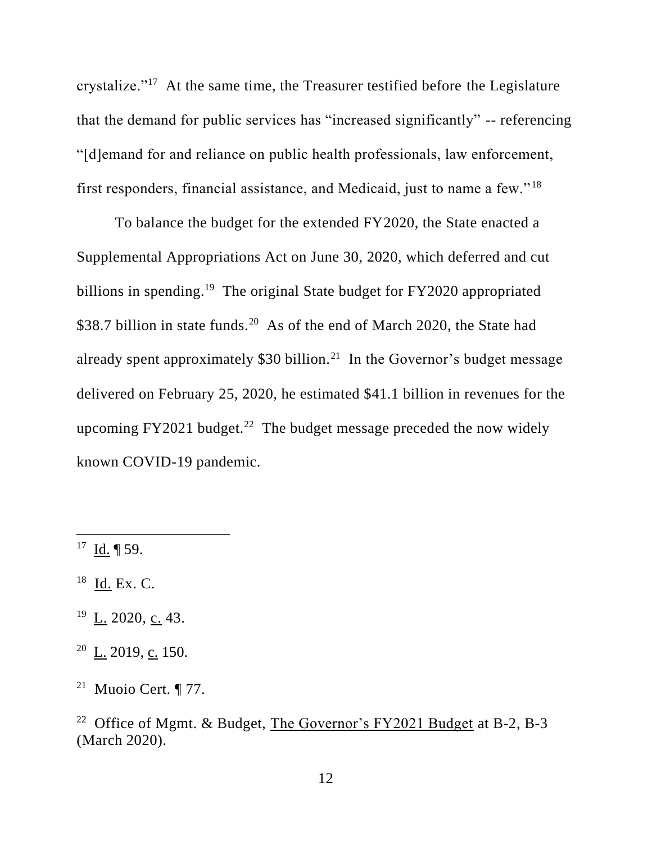crystalize."<sup>17</sup> At the same time, the Treasurer testified before the Legislature that the demand for public services has "increased significantly" -- referencing "[d]emand for and reliance on public health professionals, law enforcement, first responders, financial assistance, and Medicaid, just to name a few." <sup>18</sup>

To balance the budget for the extended FY2020, the State enacted a Supplemental Appropriations Act on June 30, 2020, which deferred and cut billions in spending.<sup>19</sup> The original State budget for FY2020 appropriated \$38.7 billion in state funds.<sup>20</sup> As of the end of March 2020, the State had already spent approximately \$30 billion.<sup>21</sup> In the Governor's budget message delivered on February 25, 2020, he estimated \$41.1 billion in revenues for the upcoming FY2021 budget.<sup>22</sup> The budget message preceded the now widely known COVID-19 pandemic.

- $^{17}$  Id. | 59.
- $^{18}$  Id. Ex. C.
- $^{19}$  L. 2020, c. 43.
- $20$  L. 2019, c. 150.
- <sup>21</sup> Muoio Cert.  $\P$  77.

<sup>&</sup>lt;sup>22</sup> Office of Mgmt. & Budget, The Governor's FY2021 Budget at B-2, B-3 (March 2020).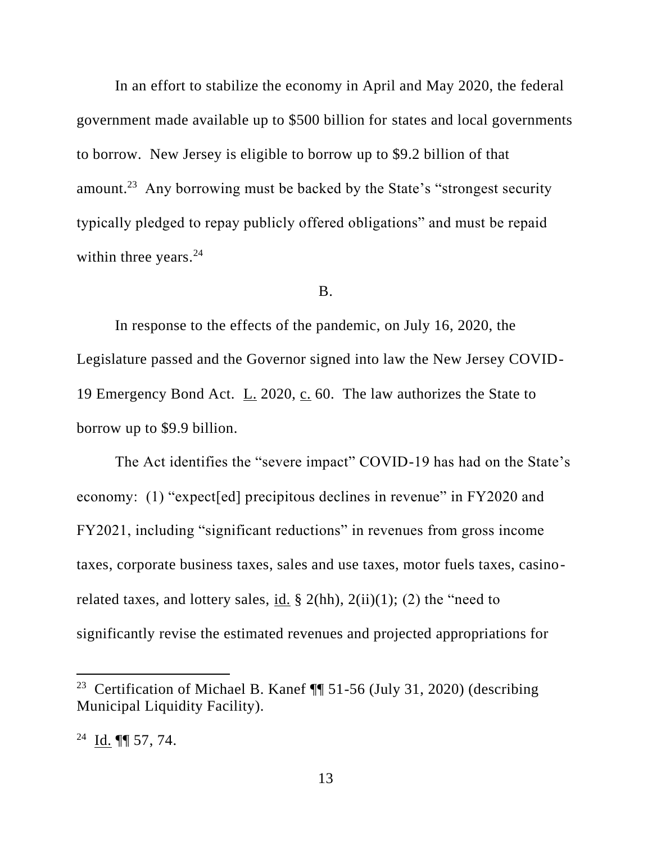In an effort to stabilize the economy in April and May 2020, the federal government made available up to \$500 billion for states and local governments to borrow. New Jersey is eligible to borrow up to \$9.2 billion of that amount.<sup>23</sup> Any borrowing must be backed by the State's "strongest security typically pledged to repay publicly offered obligations" and must be repaid within three years. $24$ 

# B.

In response to the effects of the pandemic, on July 16, 2020, the Legislature passed and the Governor signed into law the New Jersey COVID-19 Emergency Bond Act. L. 2020, c. 60. The law authorizes the State to borrow up to \$9.9 billion.

The Act identifies the "severe impact" COVID-19 has had on the State's economy: (1) "expect[ed] precipitous declines in revenue" in FY2020 and FY2021, including "significant reductions" in revenues from gross income taxes, corporate business taxes, sales and use taxes, motor fuels taxes, casinorelated taxes, and lottery sales, id.  $\S$  2(hh), 2(ii)(1); (2) the "need to significantly revise the estimated revenues and projected appropriations for

<sup>&</sup>lt;sup>23</sup> Certification of Michael B. Kanef  $\P$  51-56 (July 31, 2020) (describing Municipal Liquidity Facility).

 $^{24}$  Id. ¶ 57, 74.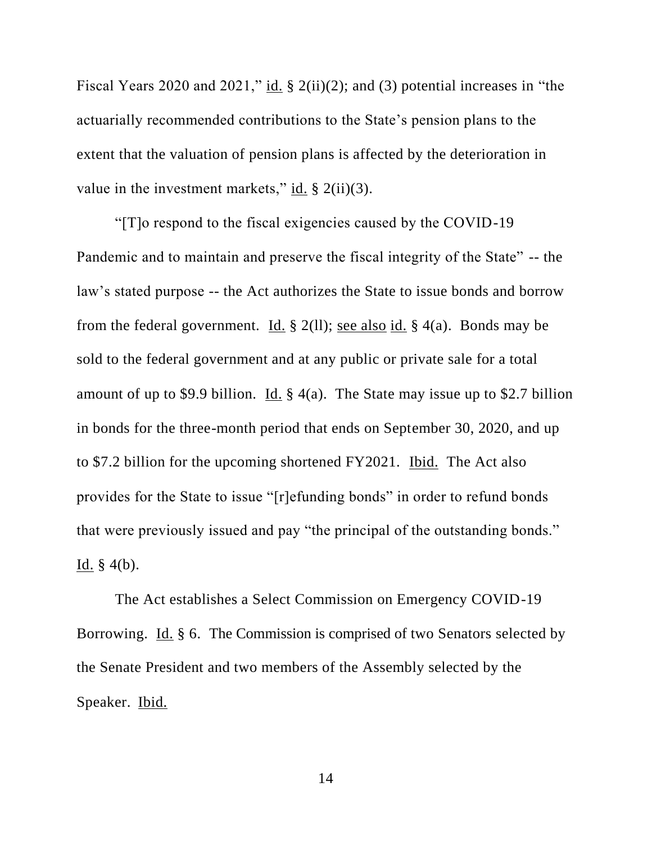Fiscal Years 2020 and 2021," id. § 2(ii)(2); and (3) potential increases in "the actuarially recommended contributions to the State's pension plans to the extent that the valuation of pension plans is affected by the deterioration in value in the investment markets," id.  $\S$  2(ii)(3).

"[T]o respond to the fiscal exigencies caused by the COVID-19 Pandemic and to maintain and preserve the fiscal integrity of the State" -- the law's stated purpose -- the Act authorizes the State to issue bonds and borrow from the federal government. Id.  $\S$  2(11); see also id.  $\S$  4(a). Bonds may be sold to the federal government and at any public or private sale for a total amount of up to \$9.9 billion. Id.  $\S$  4(a). The State may issue up to \$2.7 billion in bonds for the three-month period that ends on September 30, 2020, and up to \$7.2 billion for the upcoming shortened FY2021. Ibid. The Act also provides for the State to issue "[r]efunding bonds" in order to refund bonds that were previously issued and pay "the principal of the outstanding bonds." <u>Id.</u> § 4(b).

The Act establishes a Select Commission on Emergency COVID-19 Borrowing. Id. § 6. The Commission is comprised of two Senators selected by the Senate President and two members of the Assembly selected by the Speaker. Ibid.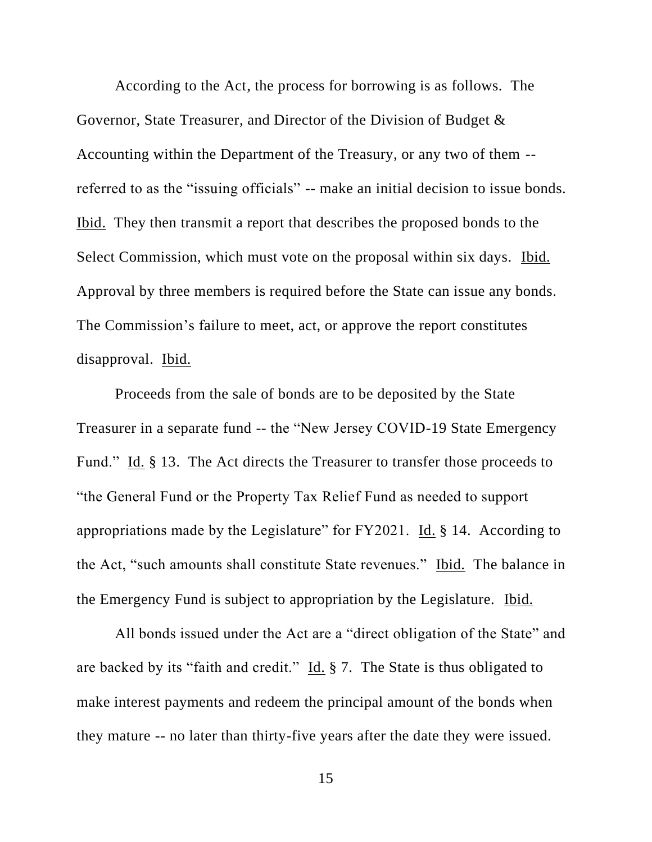According to the Act, the process for borrowing is as follows. The Governor, State Treasurer, and Director of the Division of Budget & Accounting within the Department of the Treasury, or any two of them - referred to as the "issuing officials" -- make an initial decision to issue bonds. Ibid. They then transmit a report that describes the proposed bonds to the Select Commission, which must vote on the proposal within six days. Ibid. Approval by three members is required before the State can issue any bonds. The Commission's failure to meet, act, or approve the report constitutes disapproval. Ibid.

Proceeds from the sale of bonds are to be deposited by the State Treasurer in a separate fund -- the "New Jersey COVID-19 State Emergency Fund." Id. § 13. The Act directs the Treasurer to transfer those proceeds to "the General Fund or the Property Tax Relief Fund as needed to support appropriations made by the Legislature" for  $FY2021$ . Id. § 14. According to the Act, "such amounts shall constitute State revenues." Ibid. The balance in the Emergency Fund is subject to appropriation by the Legislature. Ibid.

All bonds issued under the Act are a "direct obligation of the State" and are backed by its "faith and credit." Id. § 7. The State is thus obligated to make interest payments and redeem the principal amount of the bonds when they mature -- no later than thirty-five years after the date they were issued.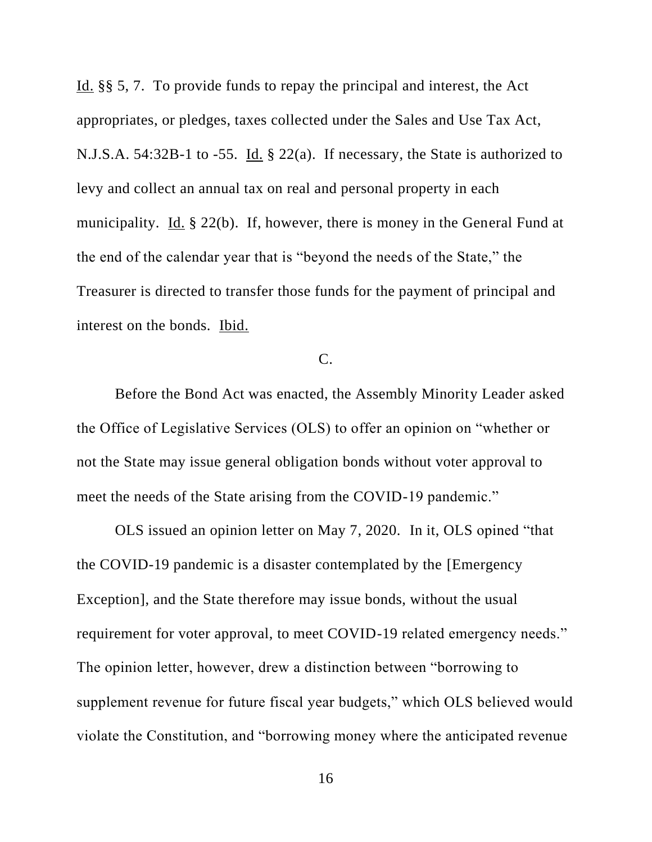Id. §§ 5, 7. To provide funds to repay the principal and interest, the Act appropriates, or pledges, taxes collected under the Sales and Use Tax Act, N.J.S.A. 54:32B-1 to -55. Id. § 22(a). If necessary, the State is authorized to levy and collect an annual tax on real and personal property in each municipality. Id. § 22(b). If, however, there is money in the General Fund at the end of the calendar year that is "beyond the needs of the State," the Treasurer is directed to transfer those funds for the payment of principal and interest on the bonds. Ibid.

C.

Before the Bond Act was enacted, the Assembly Minority Leader asked the Office of Legislative Services (OLS) to offer an opinion on "whether or not the State may issue general obligation bonds without voter approval to meet the needs of the State arising from the COVID-19 pandemic."

OLS issued an opinion letter on May 7, 2020. In it, OLS opined "that the COVID-19 pandemic is a disaster contemplated by the [Emergency Exception], and the State therefore may issue bonds, without the usual requirement for voter approval, to meet COVID-19 related emergency needs." The opinion letter, however, drew a distinction between "borrowing to supplement revenue for future fiscal year budgets," which OLS believed would violate the Constitution, and "borrowing money where the anticipated revenue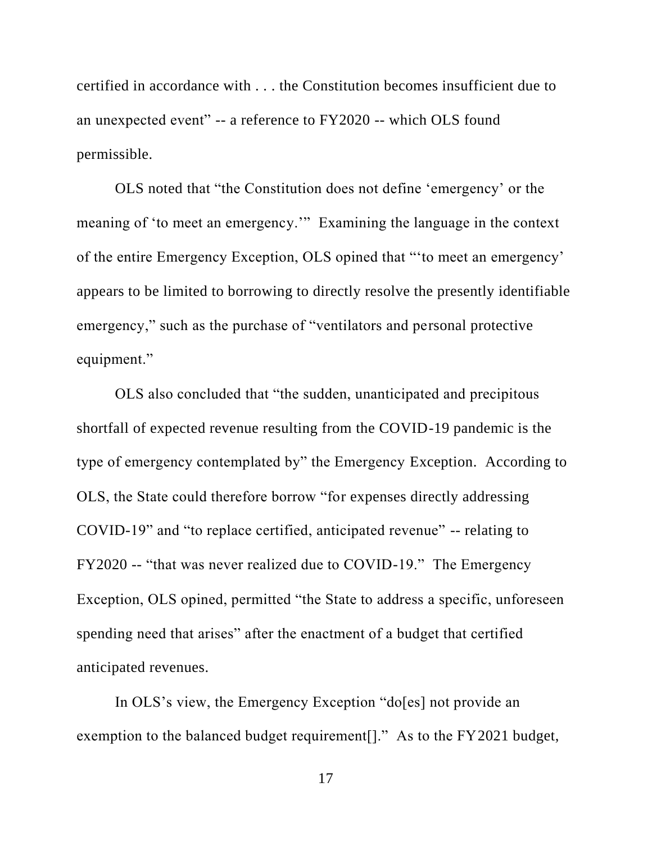certified in accordance with . . . the Constitution becomes insufficient due to an unexpected event" -- a reference to FY2020 -- which OLS found permissible.

OLS noted that "the Constitution does not define 'emergency' or the meaning of 'to meet an emergency.'" Examining the language in the context of the entire Emergency Exception, OLS opined that "'to meet an emergency' appears to be limited to borrowing to directly resolve the presently identifiable emergency," such as the purchase of "ventilators and personal protective equipment."

OLS also concluded that "the sudden, unanticipated and precipitous shortfall of expected revenue resulting from the COVID-19 pandemic is the type of emergency contemplated by" the Emergency Exception. According to OLS, the State could therefore borrow "for expenses directly addressing COVID-19" and "to replace certified, anticipated revenue" -- relating to FY2020 -- "that was never realized due to COVID-19." The Emergency Exception, OLS opined, permitted "the State to address a specific, unforeseen spending need that arises" after the enactment of a budget that certified anticipated revenues.

In OLS's view, the Emergency Exception "do<sup>[es]</sup> not provide an exemption to the balanced budget requirement<sup>[]</sup>." As to the FY2021 budget,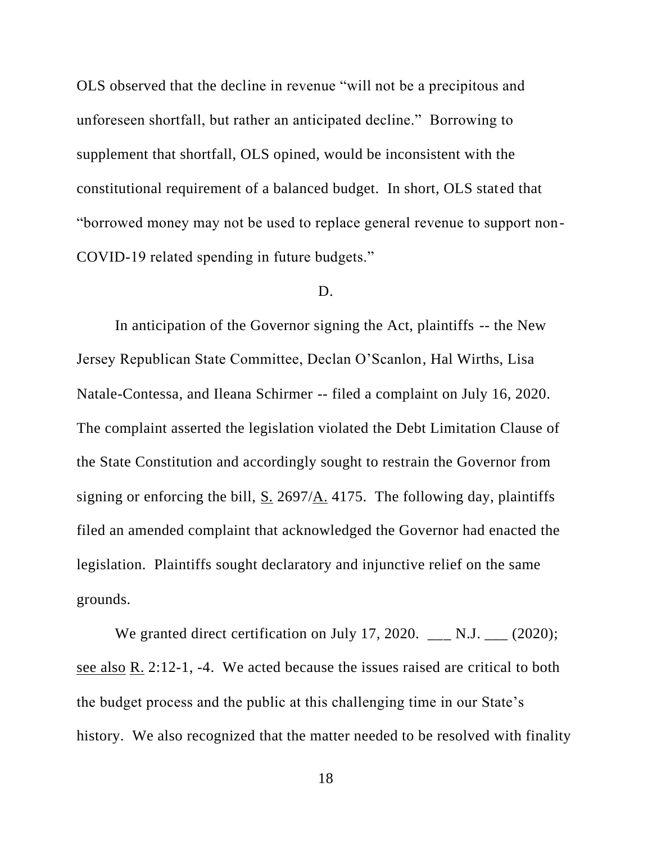OLS observed that the decline in revenue "will not be a precipitous and unforeseen shortfall, but rather an anticipated decline." Borrowing to supplement that shortfall, OLS opined, would be inconsistent with the constitutional requirement of a balanced budget. In short, OLS stated that "borrowed money may not be used to replace general revenue to support non-COVID-19 related spending in future budgets."

#### D.

In anticipation of the Governor signing the Act, plaintiffs -- the New Jersey Republican State Committee, Declan O'Scanlon, Hal Wirths, Lisa Natale-Contessa, and Ileana Schirmer -- filed a complaint on July 16, 2020. The complaint asserted the legislation violated the Debt Limitation Clause of the State Constitution and accordingly sought to restrain the Governor from signing or enforcing the bill, S. 2697/A. 4175. The following day, plaintiffs filed an amended complaint that acknowledged the Governor had enacted the legislation. Plaintiffs sought declaratory and injunctive relief on the same grounds.

We granted direct certification on July 17, 2020.  $\_\_$  N.J.  $\_\_$  (2020); see also R. 2:12-1, -4. We acted because the issues raised are critical to both the budget process and the public at this challenging time in our State's history. We also recognized that the matter needed to be resolved with finality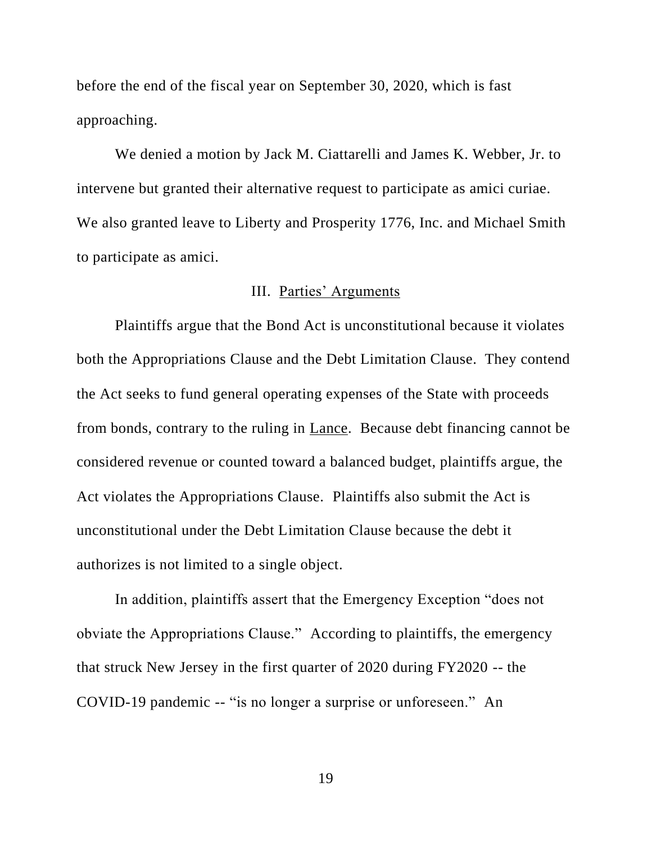before the end of the fiscal year on September 30, 2020, which is fast approaching.

We denied a motion by Jack M. Ciattarelli and James K. Webber, Jr. to intervene but granted their alternative request to participate as amici curiae. We also granted leave to Liberty and Prosperity 1776, Inc. and Michael Smith to participate as amici.

# III. Parties' Arguments

Plaintiffs argue that the Bond Act is unconstitutional because it violates both the Appropriations Clause and the Debt Limitation Clause. They contend the Act seeks to fund general operating expenses of the State with proceeds from bonds, contrary to the ruling in Lance. Because debt financing cannot be considered revenue or counted toward a balanced budget, plaintiffs argue, the Act violates the Appropriations Clause. Plaintiffs also submit the Act is unconstitutional under the Debt Limitation Clause because the debt it authorizes is not limited to a single object.

In addition, plaintiffs assert that the Emergency Exception "does not obviate the Appropriations Clause." According to plaintiffs, the emergency that struck New Jersey in the first quarter of 2020 during FY2020 -- the COVID-19 pandemic -- "is no longer a surprise or unforeseen." An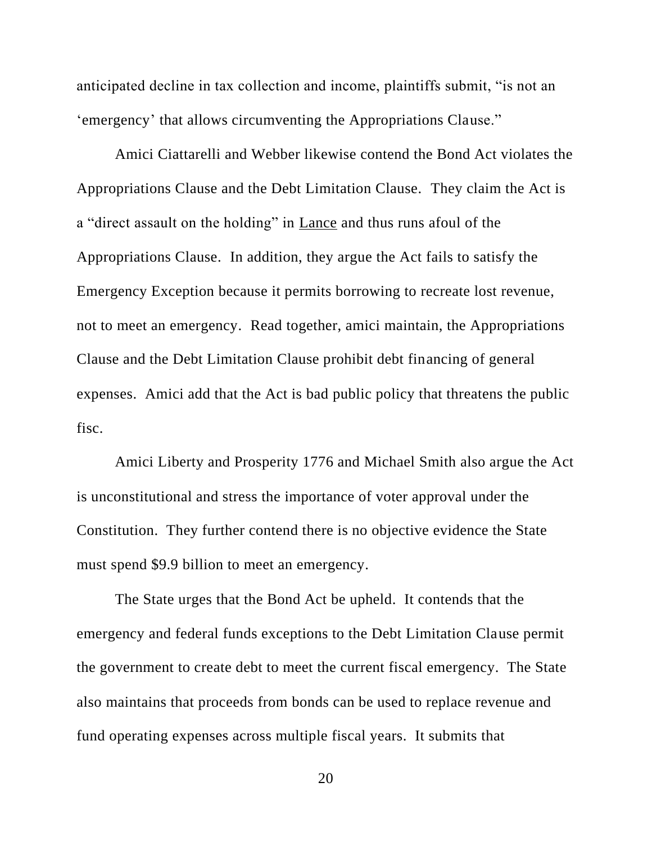anticipated decline in tax collection and income, plaintiffs submit, "is not an 'emergency' that allows circumventing the Appropriations Clause."

Amici Ciattarelli and Webber likewise contend the Bond Act violates the Appropriations Clause and the Debt Limitation Clause. They claim the Act is a "direct assault on the holding" in Lance and thus runs afoul of the Appropriations Clause. In addition, they argue the Act fails to satisfy the Emergency Exception because it permits borrowing to recreate lost revenue, not to meet an emergency. Read together, amici maintain, the Appropriations Clause and the Debt Limitation Clause prohibit debt financing of general expenses. Amici add that the Act is bad public policy that threatens the public fisc.

Amici Liberty and Prosperity 1776 and Michael Smith also argue the Act is unconstitutional and stress the importance of voter approval under the Constitution. They further contend there is no objective evidence the State must spend \$9.9 billion to meet an emergency.

The State urges that the Bond Act be upheld. It contends that the emergency and federal funds exceptions to the Debt Limitation Clause permit the government to create debt to meet the current fiscal emergency. The State also maintains that proceeds from bonds can be used to replace revenue and fund operating expenses across multiple fiscal years. It submits that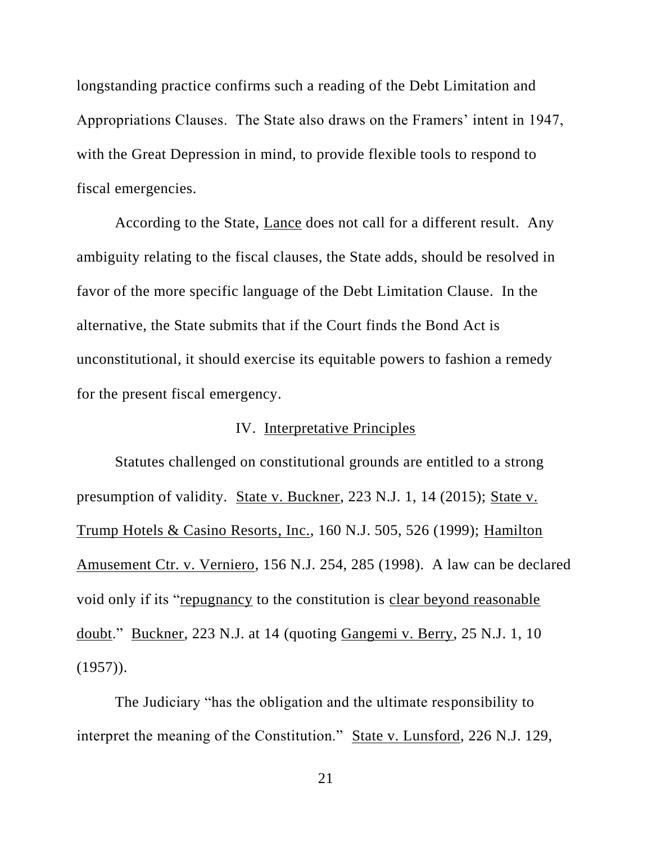longstanding practice confirms such a reading of the Debt Limitation and Appropriations Clauses. The State also draws on the Framers' intent in 1947, with the Great Depression in mind, to provide flexible tools to respond to fiscal emergencies.

According to the State, Lance does not call for a different result. Any ambiguity relating to the fiscal clauses, the State adds, should be resolved in favor of the more specific language of the Debt Limitation Clause. In the alternative, the State submits that if the Court finds the Bond Act is unconstitutional, it should exercise its equitable powers to fashion a remedy for the present fiscal emergency.

# IV. Interpretative Principles

Statutes challenged on constitutional grounds are entitled to a strong presumption of validity. State v. Buckner, 223 N.J. 1, 14 (2015); State v. Trump Hotels & Casino Resorts, Inc., 160 N.J. 505, 526 (1999); Hamilton Amusement Ctr. v. Verniero, 156 N.J. 254, 285 (1998). A law can be declared void only if its "repugnancy to the constitution is clear beyond reasonable doubt." Buckner, 223 N.J. at 14 (quoting Gangemi v. Berry, 25 N.J. 1, 10  $(1957)$ .

The Judiciary "has the obligation and the ultimate responsibility to interpret the meaning of the Constitution." State v. Lunsford, 226 N.J. 129,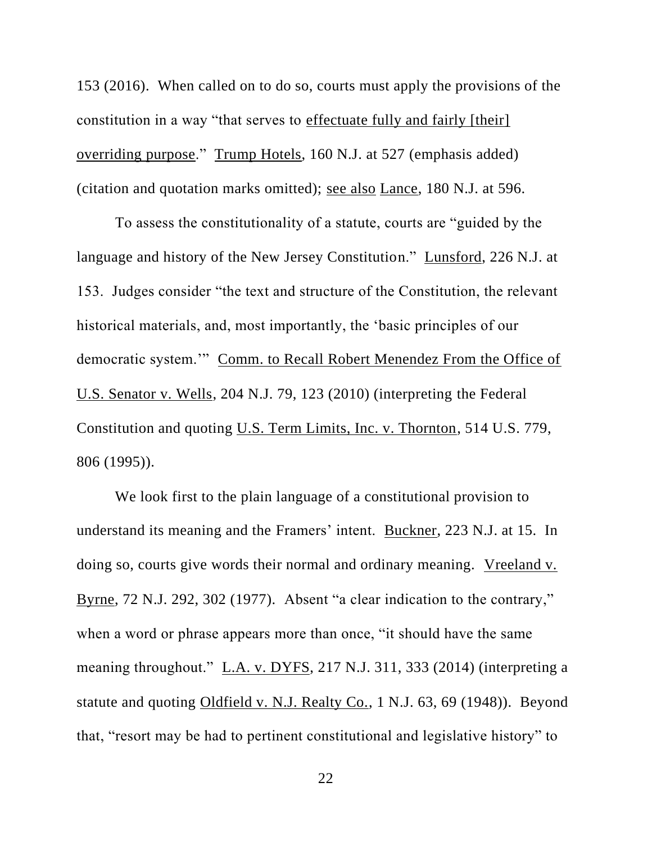153 (2016). When called on to do so, courts must apply the provisions of the constitution in a way "that serves to effectuate fully and fairly [their] overriding purpose." Trump Hotels, 160 N.J. at 527 (emphasis added) (citation and quotation marks omitted); see also Lance, 180 N.J. at 596.

To assess the constitutionality of a statute, courts are "guided by the language and history of the New Jersey Constitution." Lunsford, 226 N.J. at 153. Judges consider "the text and structure of the Constitution, the relevant historical materials, and, most importantly, the 'basic principles of our democratic system.'" Comm. to Recall Robert Menendez From the Office of U.S. Senator v. Wells, 204 N.J. 79, 123 (2010) (interpreting the Federal Constitution and quoting U.S. Term Limits, Inc. v. Thornton, 514 U.S. 779, 806 (1995)).

We look first to the plain language of a constitutional provision to understand its meaning and the Framers' intent. Buckner, 223 N.J. at 15. In doing so, courts give words their normal and ordinary meaning. Vreeland v. Byrne, 72 N.J. 292, 302 (1977). Absent "a clear indication to the contrary," when a word or phrase appears more than once, "it should have the same meaning throughout." L.A. v. DYFS, 217 N.J. 311, 333 (2014) (interpreting a statute and quoting Oldfield v. N.J. Realty Co., 1 N.J. 63, 69 (1948)). Beyond that, "resort may be had to pertinent constitutional and legislative history" to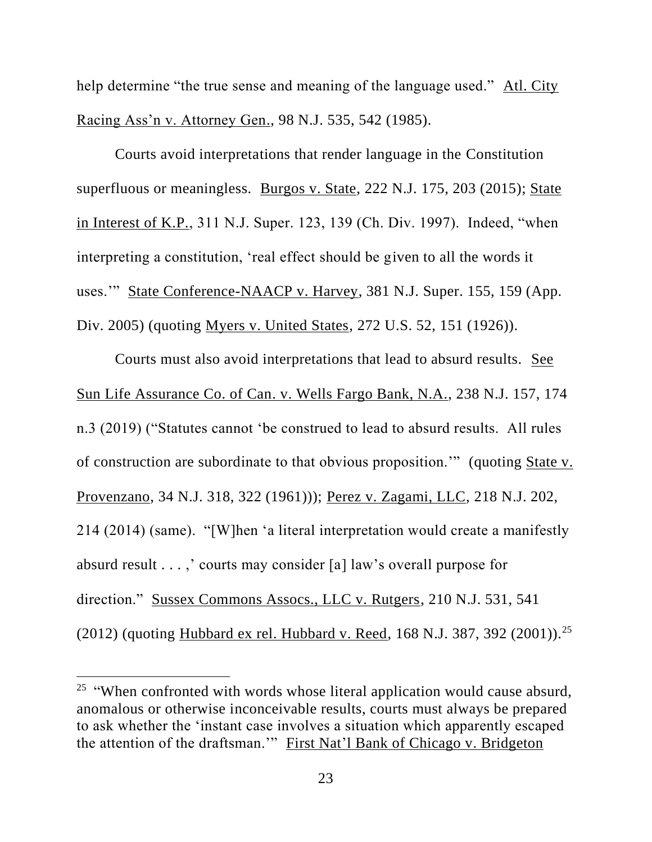help determine "the true sense and meaning of the language used." Atl. City Racing Ass'n v. Attorney Gen., 98 N.J. 535, 542 (1985).

Courts avoid interpretations that render language in the Constitution superfluous or meaningless. Burgos v. State, 222 N.J. 175, 203 (2015); State in Interest of K.P., 311 N.J. Super. 123, 139 (Ch. Div. 1997). Indeed, "when interpreting a constitution, 'real effect should be given to all the words it uses.'" State Conference-NAACP v. Harvey, 381 N.J. Super. 155, 159 (App. Div. 2005) (quoting Myers v. United States, 272 U.S. 52, 151 (1926)).

Courts must also avoid interpretations that lead to absurd results. See Sun Life Assurance Co. of Can. v. Wells Fargo Bank, N.A., 238 N.J. 157, 174 n.3 (2019) ("Statutes cannot 'be construed to lead to absurd results. All rules of construction are subordinate to that obvious proposition.'" (quoting State v. Provenzano, 34 N.J. 318, 322 (1961))); Perez v. Zagami, LLC, 218 N.J. 202, 214 (2014) (same). "[W]hen 'a literal interpretation would create a manifestly absurd result . . . ,' courts may consider [a] law's overall purpose for direction." Sussex Commons Assocs., LLC v. Rutgers, 210 N.J. 531, 541 (2012) (quoting Hubbard ex rel. Hubbard v. Reed, 168 N.J. 387, 392 (2001)).<sup>25</sup>

<sup>&</sup>lt;sup>25</sup> "When confronted with words whose literal application would cause absurd, anomalous or otherwise inconceivable results, courts must always be prepared to ask whether the 'instant case involves a situation which apparently escaped the attention of the draftsman.'" First Nat'l Bank of Chicago v. Bridgeton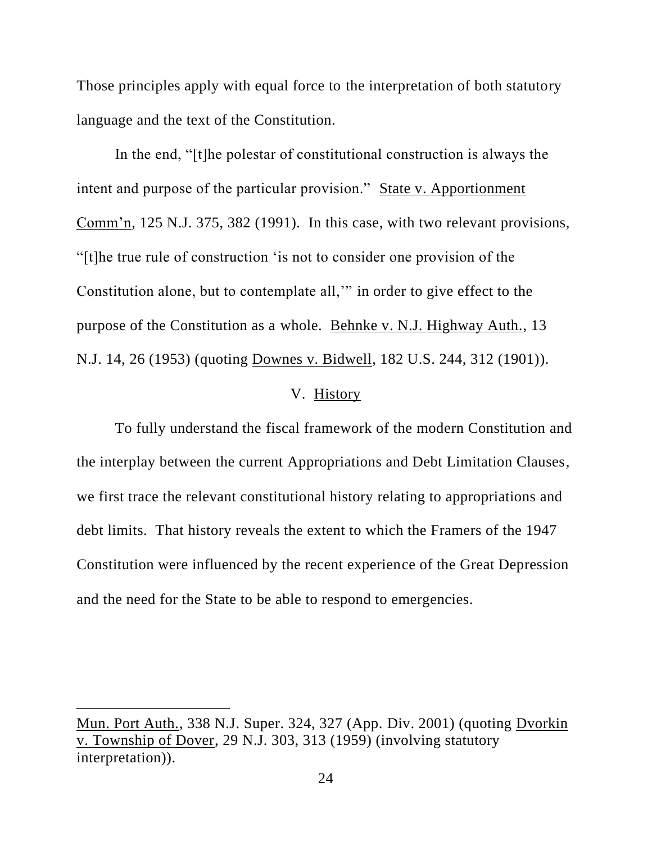Those principles apply with equal force to the interpretation of both statutory language and the text of the Constitution.

In the end, "[t]he polestar of constitutional construction is always the intent and purpose of the particular provision." State v. Apportionment Comm'n, 125 N.J. 375, 382 (1991). In this case, with two relevant provisions, "[t]he true rule of construction 'is not to consider one provision of the Constitution alone, but to contemplate all,'" in order to give effect to the purpose of the Constitution as a whole. Behnke v. N.J. Highway Auth., 13 N.J. 14, 26 (1953) (quoting Downes v. Bidwell, 182 U.S. 244, 312 (1901)).

# V. History

To fully understand the fiscal framework of the modern Constitution and the interplay between the current Appropriations and Debt Limitation Clauses, we first trace the relevant constitutional history relating to appropriations and debt limits. That history reveals the extent to which the Framers of the 1947 Constitution were influenced by the recent experience of the Great Depression and the need for the State to be able to respond to emergencies.

Mun. Port Auth., 338 N.J. Super. 324, 327 (App. Div. 2001) (quoting Dvorkin v. Township of Dover, 29 N.J. 303, 313 (1959) (involving statutory interpretation)).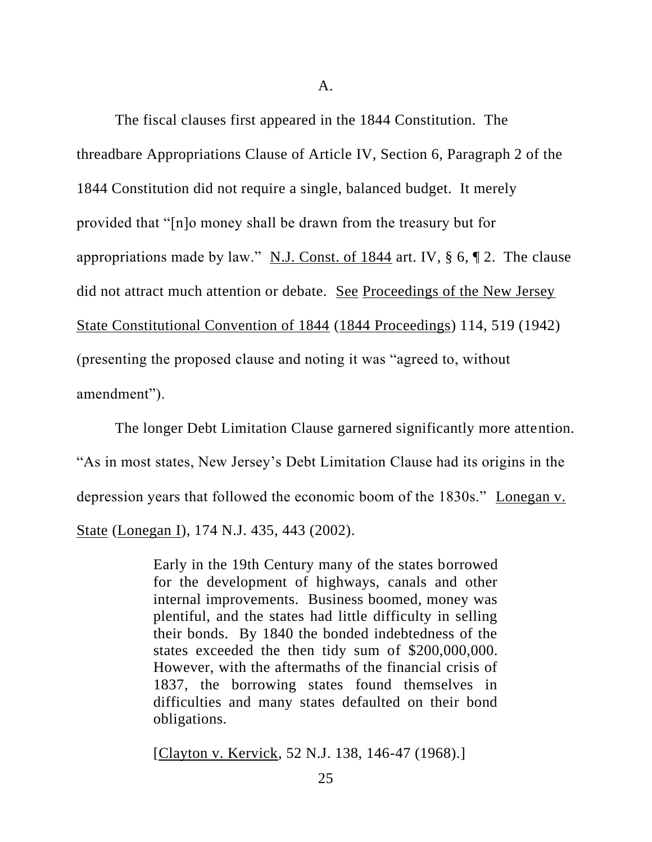A.

The fiscal clauses first appeared in the 1844 Constitution. The threadbare Appropriations Clause of Article IV, Section 6, Paragraph 2 of the 1844 Constitution did not require a single, balanced budget. It merely provided that "[n]o money shall be drawn from the treasury but for appropriations made by law." N.J. Const. of 1844 art. IV,  $\S$  6,  $\P$  2. The clause did not attract much attention or debate. See Proceedings of the New Jersey State Constitutional Convention of 1844 (1844 Proceedings) 114, 519 (1942) (presenting the proposed clause and noting it was "agreed to, without amendment").

The longer Debt Limitation Clause garnered significantly more attention. "As in most states, New Jersey's Debt Limitation Clause had its origins in the depression years that followed the economic boom of the 1830s." Lonegan v. State (Lonegan I), 174 N.J. 435, 443 (2002).

> Early in the 19th Century many of the states borrowed for the development of highways, canals and other internal improvements. Business boomed, money was plentiful, and the states had little difficulty in selling their bonds. By 1840 the bonded indebtedness of the states exceeded the then tidy sum of \$200,000,000. However, with the aftermaths of the financial crisis of 1837, the borrowing states found themselves in difficulties and many states defaulted on their bond obligations.

[Clayton v. Kervick, 52 N.J. 138, 146-47 (1968).]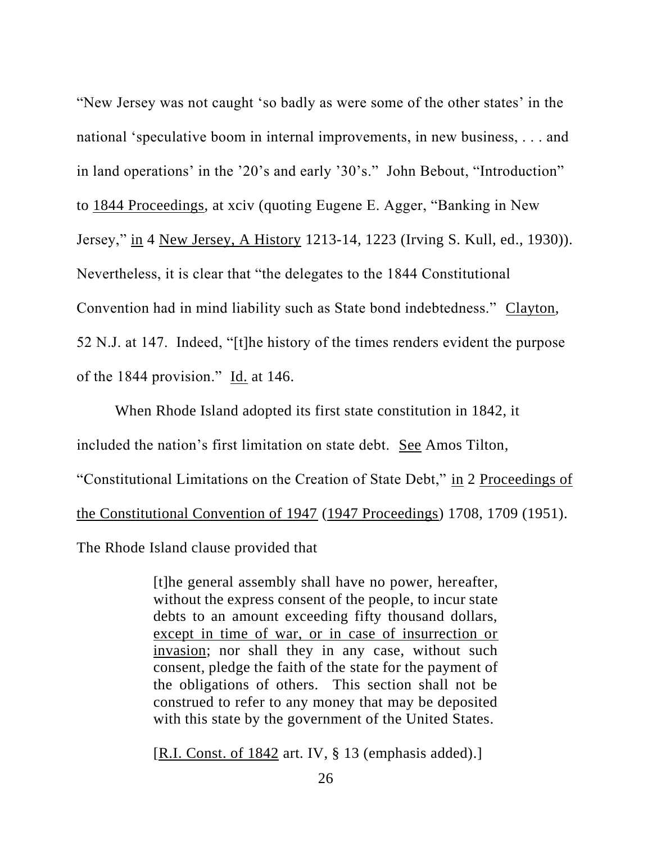"New Jersey was not caught 'so badly as were some of the other states' in the national 'speculative boom in internal improvements, in new business, . . . and in land operations' in the '20's and early '30's." John Bebout, "Introduction" to 1844 Proceedings, at xciv (quoting Eugene E. Agger, "Banking in New Jersey," in 4 New Jersey, A History 1213-14, 1223 (Irving S. Kull, ed., 1930)). Nevertheless, it is clear that "the delegates to the 1844 Constitutional Convention had in mind liability such as State bond indebtedness." Clayton, 52 N.J. at 147. Indeed, "[t]he history of the times renders evident the purpose of the 1844 provision." Id. at 146.

When Rhode Island adopted its first state constitution in 1842, it included the nation's first limitation on state debt. See Amos Tilton, "Constitutional Limitations on the Creation of State Debt," in 2 Proceedings of the Constitutional Convention of 1947 (1947 Proceedings) 1708, 1709 (1951). The Rhode Island clause provided that

> [t]he general assembly shall have no power, hereafter, without the express consent of the people, to incur state debts to an amount exceeding fifty thousand dollars, except in time of war, or in case of insurrection or invasion; nor shall they in any case, without such consent, pledge the faith of the state for the payment of the obligations of others. This section shall not be construed to refer to any money that may be deposited with this state by the government of the United States.

[R.I. Const. of 1842 art. IV, § 13 (emphasis added).]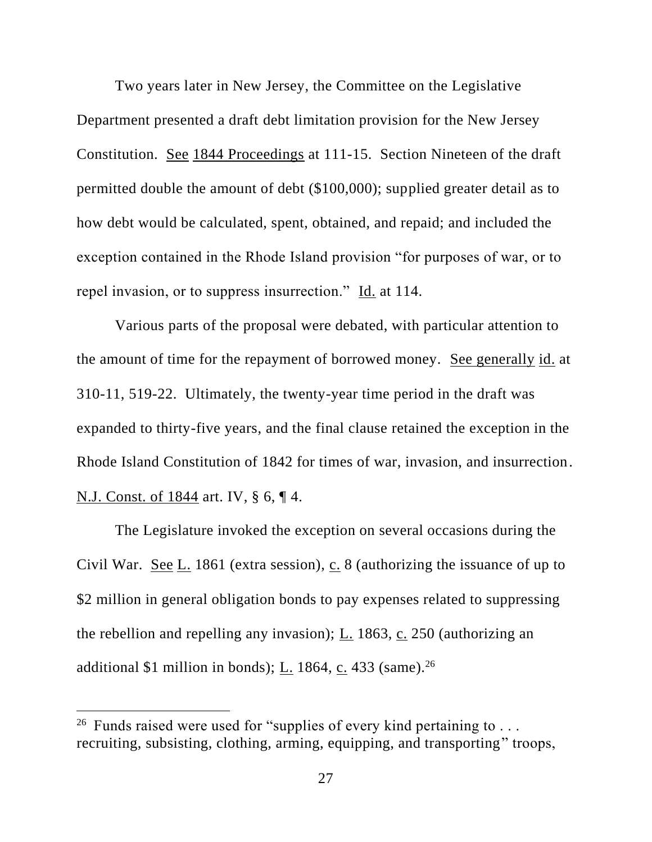Two years later in New Jersey, the Committee on the Legislative Department presented a draft debt limitation provision for the New Jersey Constitution. See 1844 Proceedings at 111-15. Section Nineteen of the draft permitted double the amount of debt (\$100,000); supplied greater detail as to how debt would be calculated, spent, obtained, and repaid; and included the exception contained in the Rhode Island provision "for purposes of war, or to repel invasion, or to suppress insurrection." Id. at 114.

Various parts of the proposal were debated, with particular attention to the amount of time for the repayment of borrowed money. See generally id. at 310-11, 519-22. Ultimately, the twenty-year time period in the draft was expanded to thirty-five years, and the final clause retained the exception in the Rhode Island Constitution of 1842 for times of war, invasion, and insurrection. N.J. Const. of 1844 art. IV, § 6, ¶ 4.

The Legislature invoked the exception on several occasions during the Civil War. See  $L_1$  1861 (extra session), c. 8 (authorizing the issuance of up to \$2 million in general obligation bonds to pay expenses related to suppressing the rebellion and repelling any invasion); L. 1863, c. 250 (authorizing an additional \$1 million in bonds);  $\underline{L}$ . 1864,  $\underline{c}$ . 433 (same).<sup>26</sup>

<sup>&</sup>lt;sup>26</sup> Funds raised were used for "supplies of every kind pertaining to  $\dots$ recruiting, subsisting, clothing, arming, equipping, and transporting" troops,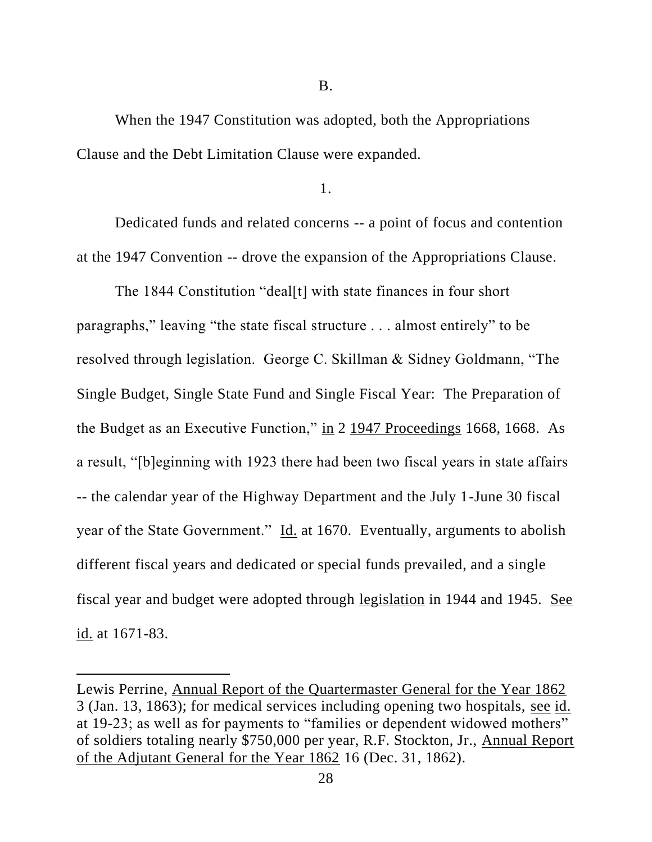B.

When the 1947 Constitution was adopted, both the Appropriations Clause and the Debt Limitation Clause were expanded.

1.

Dedicated funds and related concerns -- a point of focus and contention at the 1947 Convention -- drove the expansion of the Appropriations Clause.

The 1844 Constitution "deal[t] with state finances in four short paragraphs," leaving "the state fiscal structure . . . almost entirely" to be resolved through legislation. George C. Skillman & Sidney Goldmann, "The Single Budget, Single State Fund and Single Fiscal Year: The Preparation of the Budget as an Executive Function," in 2 1947 Proceedings 1668, 1668. As a result, "[b]eginning with 1923 there had been two fiscal years in state affairs -- the calendar year of the Highway Department and the July 1-June 30 fiscal year of the State Government." Id. at 1670. Eventually, arguments to abolish different fiscal years and dedicated or special funds prevailed, and a single fiscal year and budget were adopted through legislation in 1944 and 1945. See id. at 1671-83.

Lewis Perrine, Annual Report of the Quartermaster General for the Year 1862 3 (Jan. 13, 1863); for medical services including opening two hospitals, see id. at 19-23; as well as for payments to "families or dependent widowed mothers" of soldiers totaling nearly \$750,000 per year, R.F. Stockton, Jr., Annual Report of the Adjutant General for the Year 1862 16 (Dec. 31, 1862).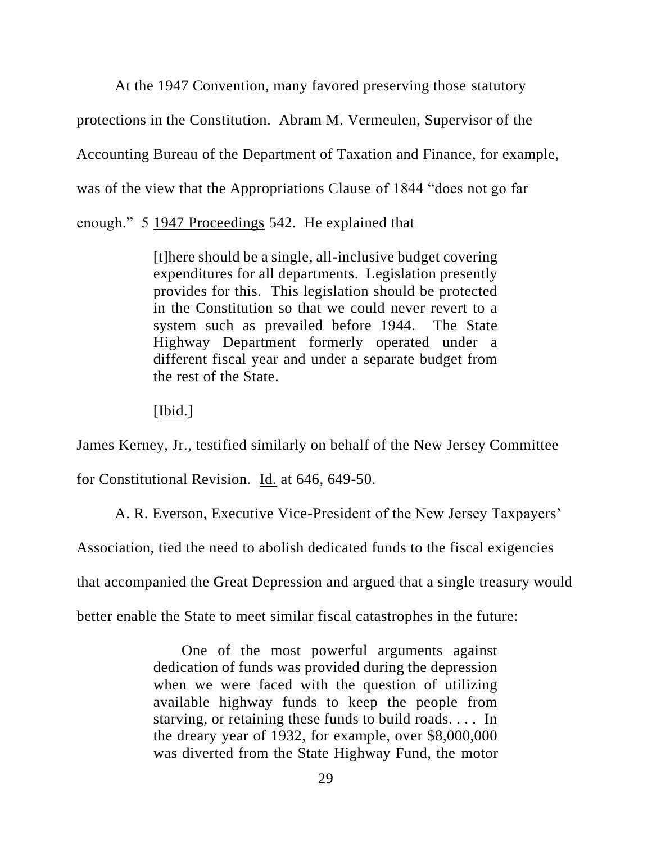At the 1947 Convention, many favored preserving those statutory protections in the Constitution. Abram M. Vermeulen, Supervisor of the Accounting Bureau of the Department of Taxation and Finance, for example, was of the view that the Appropriations Clause of 1844 "does not go far enough." 5 1947 Proceedings 542. He explained that

> [t]here should be a single, all-inclusive budget covering expenditures for all departments. Legislation presently provides for this. This legislation should be protected in the Constitution so that we could never revert to a system such as prevailed before 1944. The State Highway Department formerly operated under a different fiscal year and under a separate budget from the rest of the State.

[Ibid.]

James Kerney, Jr., testified similarly on behalf of the New Jersey Committee

for Constitutional Revision. Id. at 646, 649-50.

A. R. Everson, Executive Vice-President of the New Jersey Taxpayers'

Association, tied the need to abolish dedicated funds to the fiscal exigencies

that accompanied the Great Depression and argued that a single treasury would

better enable the State to meet similar fiscal catastrophes in the future:

 One of the most powerful arguments against dedication of funds was provided during the depression when we were faced with the question of utilizing available highway funds to keep the people from starving, or retaining these funds to build roads. . . . In the dreary year of 1932, for example, over \$8,000,000 was diverted from the State Highway Fund, the motor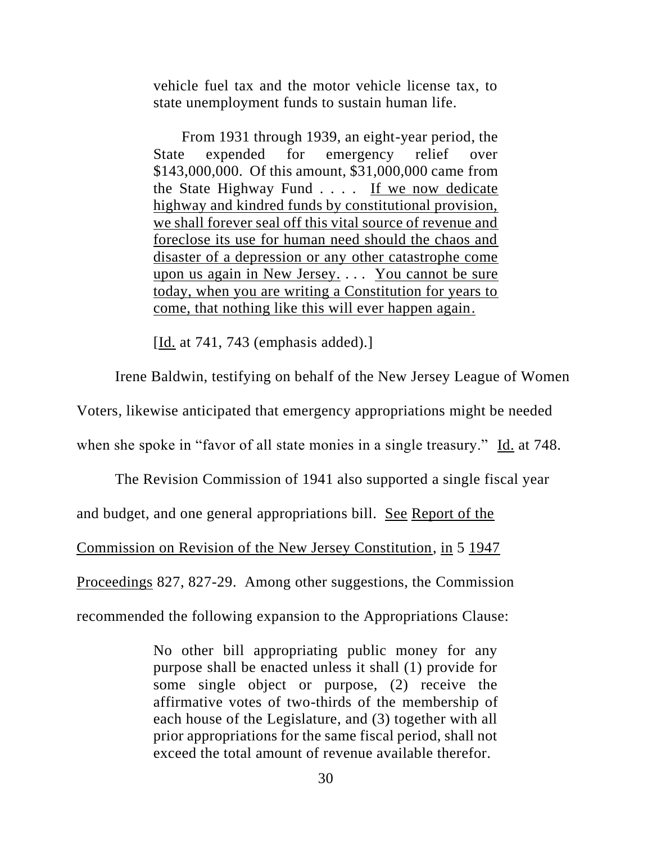vehicle fuel tax and the motor vehicle license tax, to state unemployment funds to sustain human life.

 From 1931 through 1939, an eight-year period, the State expended for emergency relief over \$143,000,000. Of this amount, \$31,000,000 came from the State Highway Fund . . . . If we now dedicate highway and kindred funds by constitutional provision, we shall forever seal off this vital source of revenue and foreclose its use for human need should the chaos and disaster of a depression or any other catastrophe come upon us again in New Jersey. . . . You cannot be sure today, when you are writing a Constitution for years to come, that nothing like this will ever happen again.

[Id. at 741, 743 (emphasis added).]

Irene Baldwin, testifying on behalf of the New Jersey League of Women

Voters, likewise anticipated that emergency appropriations might be needed

when she spoke in "favor of all state monies in a single treasury." Id. at 748.

The Revision Commission of 1941 also supported a single fiscal year

and budget, and one general appropriations bill. See Report of the

Commission on Revision of the New Jersey Constitution, in 5 1947

Proceedings 827, 827-29. Among other suggestions, the Commission

recommended the following expansion to the Appropriations Clause:

No other bill appropriating public money for any purpose shall be enacted unless it shall (1) provide for some single object or purpose, (2) receive the affirmative votes of two-thirds of the membership of each house of the Legislature, and (3) together with all prior appropriations for the same fiscal period, shall not exceed the total amount of revenue available therefor.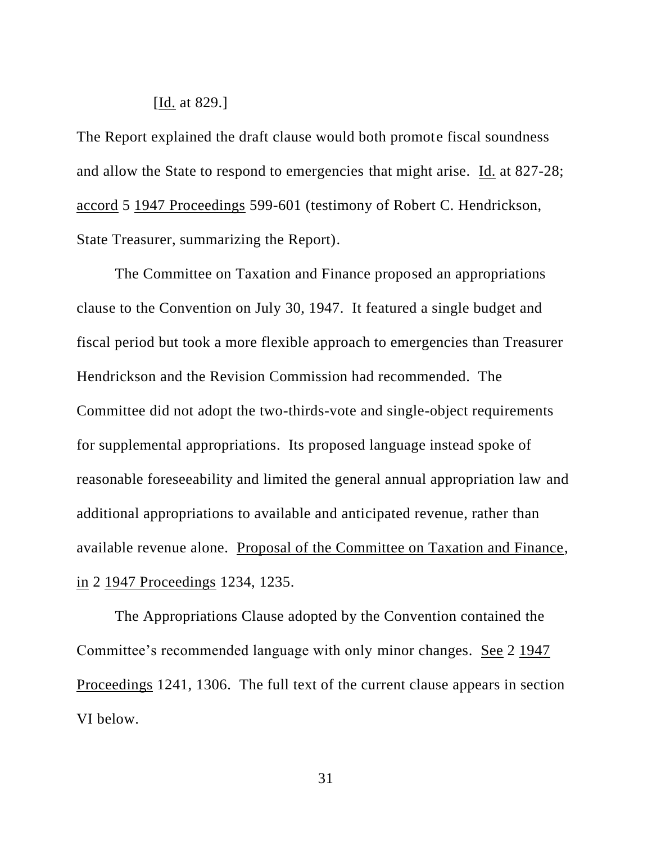# [Id. at 829.]

The Report explained the draft clause would both promote fiscal soundness and allow the State to respond to emergencies that might arise. Id. at 827-28; accord 5 1947 Proceedings 599-601 (testimony of Robert C. Hendrickson, State Treasurer, summarizing the Report).

The Committee on Taxation and Finance proposed an appropriations clause to the Convention on July 30, 1947. It featured a single budget and fiscal period but took a more flexible approach to emergencies than Treasurer Hendrickson and the Revision Commission had recommended. The Committee did not adopt the two-thirds-vote and single-object requirements for supplemental appropriations. Its proposed language instead spoke of reasonable foreseeability and limited the general annual appropriation law and additional appropriations to available and anticipated revenue, rather than available revenue alone. Proposal of the Committee on Taxation and Finance, in 2 1947 Proceedings 1234, 1235.

The Appropriations Clause adopted by the Convention contained the Committee's recommended language with only minor changes. See 2 1947 Proceedings 1241, 1306. The full text of the current clause appears in section VI below.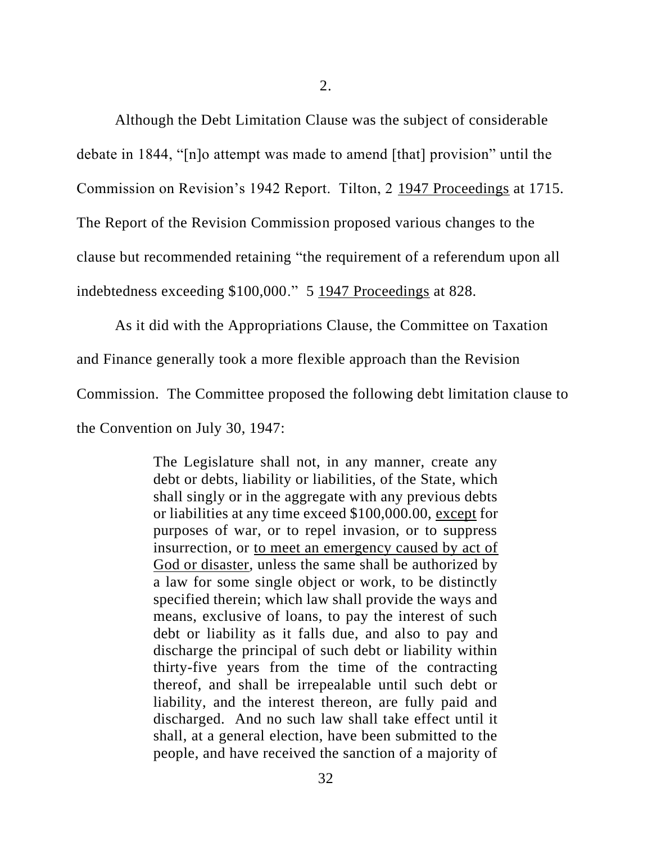Although the Debt Limitation Clause was the subject of considerable debate in 1844, "[n]o attempt was made to amend [that] provision" until the Commission on Revision's 1942 Report. Tilton, 2 1947 Proceedings at 1715. The Report of the Revision Commission proposed various changes to the clause but recommended retaining "the requirement of a referendum upon all

indebtedness exceeding \$100,000." 5 1947 Proceedings at 828.

As it did with the Appropriations Clause, the Committee on Taxation

and Finance generally took a more flexible approach than the Revision

Commission. The Committee proposed the following debt limitation clause to

the Convention on July 30, 1947:

The Legislature shall not, in any manner, create any debt or debts, liability or liabilities, of the State, which shall singly or in the aggregate with any previous debts or liabilities at any time exceed \$100,000.00, except for purposes of war, or to repel invasion, or to suppress insurrection, or to meet an emergency caused by act of God or disaster, unless the same shall be authorized by a law for some single object or work, to be distinctly specified therein; which law shall provide the ways and means, exclusive of loans, to pay the interest of such debt or liability as it falls due, and also to pay and discharge the principal of such debt or liability within thirty-five years from the time of the contracting thereof, and shall be irrepealable until such debt or liability, and the interest thereon, are fully paid and discharged. And no such law shall take effect until it shall, at a general election, have been submitted to the people, and have received the sanction of a majority of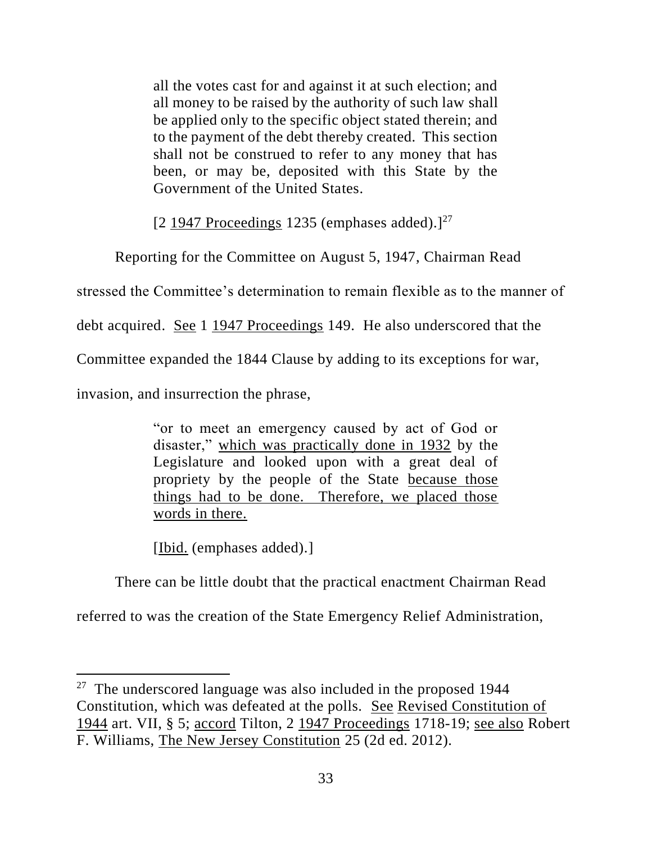all the votes cast for and against it at such election; and all money to be raised by the authority of such law shall be applied only to the specific object stated therein; and to the payment of the debt thereby created. This section shall not be construed to refer to any money that has been, or may be, deposited with this State by the Government of the United States.

 $[2 1947$  Proceedings 1235 (emphases added). $]^{27}$ 

Reporting for the Committee on August 5, 1947, Chairman Read

stressed the Committee's determination to remain flexible as to the manner of

debt acquired. See 1 1947 Proceedings 149. He also underscored that the

Committee expanded the 1844 Clause by adding to its exceptions for war,

invasion, and insurrection the phrase,

"or to meet an emergency caused by act of God or disaster," which was practically done in 1932 by the Legislature and looked upon with a great deal of propriety by the people of the State because those things had to be done. Therefore, we placed those words in there.

[Ibid. (emphases added).]

There can be little doubt that the practical enactment Chairman Read

referred to was the creation of the State Emergency Relief Administration,

 $27$  The underscored language was also included in the proposed 1944 Constitution, which was defeated at the polls. See Revised Constitution of 1944 art. VII, § 5; accord Tilton, 2 1947 Proceedings 1718-19; see also Robert F. Williams, The New Jersey Constitution 25 (2d ed. 2012).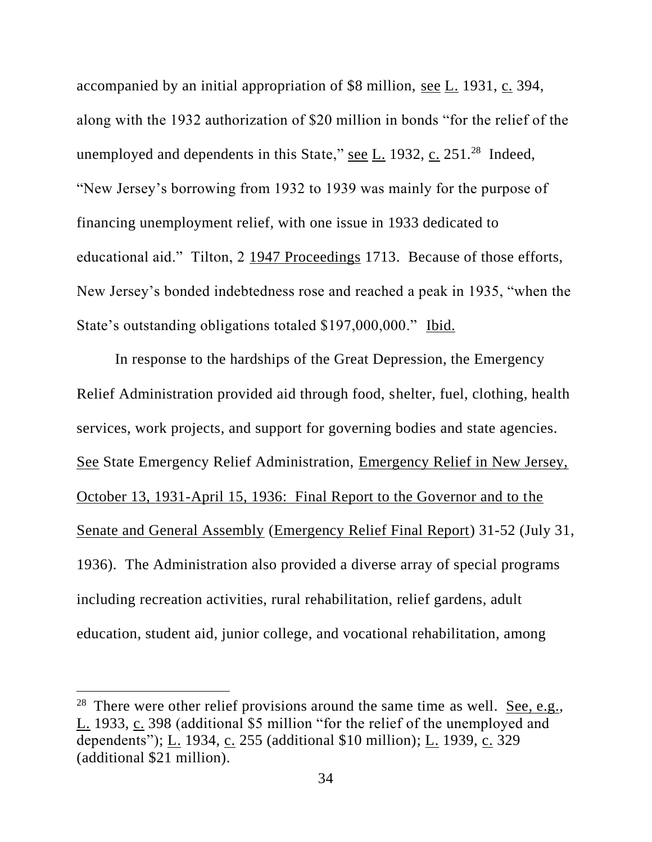accompanied by an initial appropriation of \$8 million, see L. 1931, c. 394, along with the 1932 authorization of \$20 million in bonds "for the relief of the unemployed and dependents in this State," see  $L$ . 1932, c. 251.<sup>28</sup> Indeed, "New Jersey's borrowing from 1932 to 1939 was mainly for the purpose of financing unemployment relief, with one issue in 1933 dedicated to educational aid." Tilton, 2 1947 Proceedings 1713. Because of those efforts, New Jersey's bonded indebtedness rose and reached a peak in 1935, "when the State's outstanding obligations totaled \$197,000,000." Ibid.

In response to the hardships of the Great Depression, the Emergency Relief Administration provided aid through food, shelter, fuel, clothing, health services, work projects, and support for governing bodies and state agencies. See State Emergency Relief Administration, Emergency Relief in New Jersey, October 13, 1931-April 15, 1936: Final Report to the Governor and to the Senate and General Assembly (Emergency Relief Final Report) 31-52 (July 31, 1936). The Administration also provided a diverse array of special programs including recreation activities, rural rehabilitation, relief gardens, adult education, student aid, junior college, and vocational rehabilitation, among

<sup>&</sup>lt;sup>28</sup> There were other relief provisions around the same time as well. <u>See, e.g.</u>, L. 1933, c. 398 (additional \$5 million "for the relief of the unemployed and dependents"); L. 1934, c. 255 (additional \$10 million); L. 1939, c. 329 (additional \$21 million).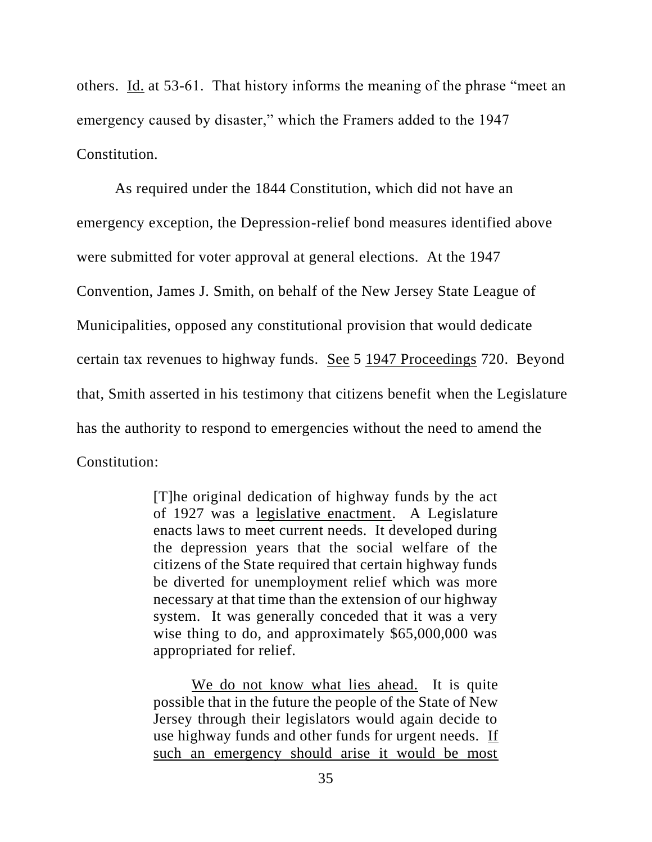others. Id. at 53-61. That history informs the meaning of the phrase "meet an emergency caused by disaster," which the Framers added to the 1947 Constitution.

As required under the 1844 Constitution, which did not have an emergency exception, the Depression-relief bond measures identified above were submitted for voter approval at general elections. At the 1947 Convention, James J. Smith, on behalf of the New Jersey State League of Municipalities, opposed any constitutional provision that would dedicate certain tax revenues to highway funds. See 5 1947 Proceedings 720. Beyond that, Smith asserted in his testimony that citizens benefit when the Legislature has the authority to respond to emergencies without the need to amend the Constitution:

> [T]he original dedication of highway funds by the act of 1927 was a legislative enactment. A Legislature enacts laws to meet current needs. It developed during the depression years that the social welfare of the citizens of the State required that certain highway funds be diverted for unemployment relief which was more necessary at that time than the extension of our highway system. It was generally conceded that it was a very wise thing to do, and approximately \$65,000,000 was appropriated for relief.

> We do not know what lies ahead. It is quite possible that in the future the people of the State of New Jersey through their legislators would again decide to use highway funds and other funds for urgent needs. If such an emergency should arise it would be most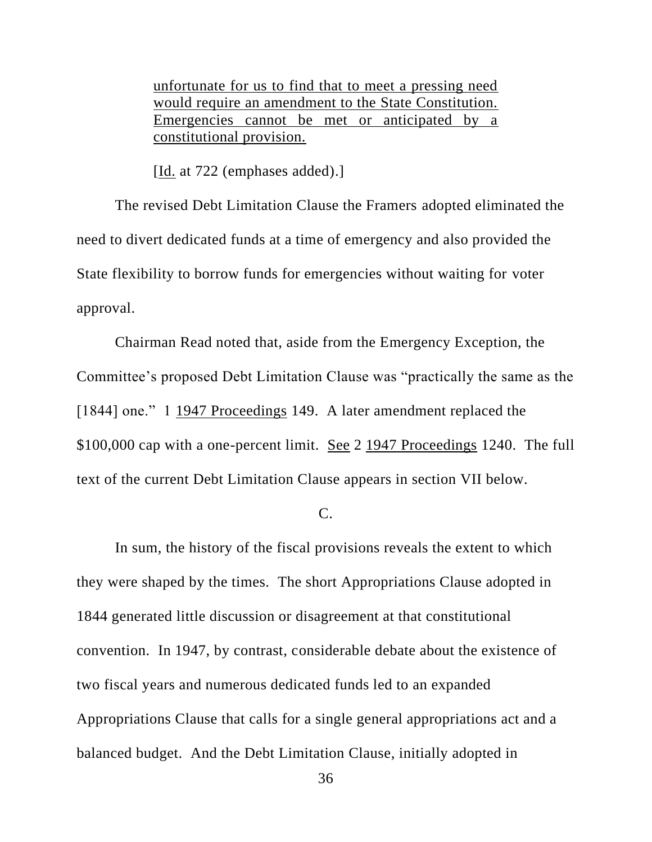unfortunate for us to find that to meet a pressing need would require an amendment to the State Constitution. Emergencies cannot be met or anticipated by a constitutional provision.

[Id. at 722 (emphases added).]

The revised Debt Limitation Clause the Framers adopted eliminated the need to divert dedicated funds at a time of emergency and also provided the State flexibility to borrow funds for emergencies without waiting for voter approval.

Chairman Read noted that, aside from the Emergency Exception, the Committee's proposed Debt Limitation Clause was "practically the same as the [1844] one." 1 1947 Proceedings 149. A later amendment replaced the \$100,000 cap with a one-percent limit. See 2 1947 Proceedings 1240. The full text of the current Debt Limitation Clause appears in section VII below.

 $C<sub>c</sub>$ 

In sum, the history of the fiscal provisions reveals the extent to which they were shaped by the times. The short Appropriations Clause adopted in 1844 generated little discussion or disagreement at that constitutional convention. In 1947, by contrast, considerable debate about the existence of two fiscal years and numerous dedicated funds led to an expanded Appropriations Clause that calls for a single general appropriations act and a balanced budget. And the Debt Limitation Clause, initially adopted in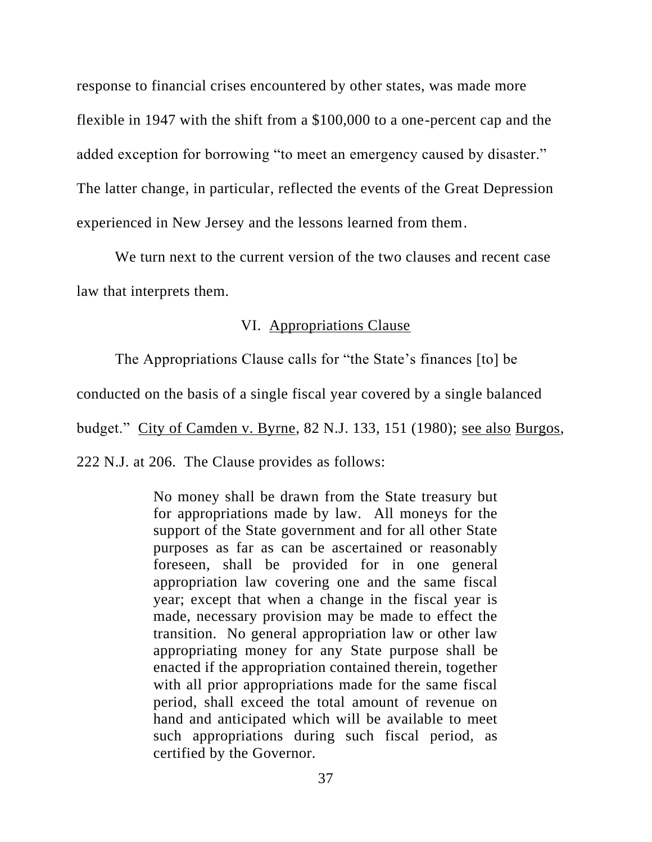response to financial crises encountered by other states, was made more flexible in 1947 with the shift from a \$100,000 to a one-percent cap and the added exception for borrowing "to meet an emergency caused by disaster." The latter change, in particular, reflected the events of the Great Depression experienced in New Jersey and the lessons learned from them.

We turn next to the current version of the two clauses and recent case law that interprets them.

# VI. Appropriations Clause

The Appropriations Clause calls for "the State's finances [to] be

conducted on the basis of a single fiscal year covered by a single balanced

budget." City of Camden v. Byrne, 82 N.J. 133, 151 (1980); see also Burgos,

222 N.J. at 206. The Clause provides as follows:

No money shall be drawn from the State treasury but for appropriations made by law. All moneys for the support of the State government and for all other State purposes as far as can be ascertained or reasonably foreseen, shall be provided for in one general appropriation law covering one and the same fiscal year; except that when a change in the fiscal year is made, necessary provision may be made to effect the transition. No general appropriation law or other law appropriating money for any State purpose shall be enacted if the appropriation contained therein, together with all prior appropriations made for the same fiscal period, shall exceed the total amount of revenue on hand and anticipated which will be available to meet such appropriations during such fiscal period, as certified by the Governor.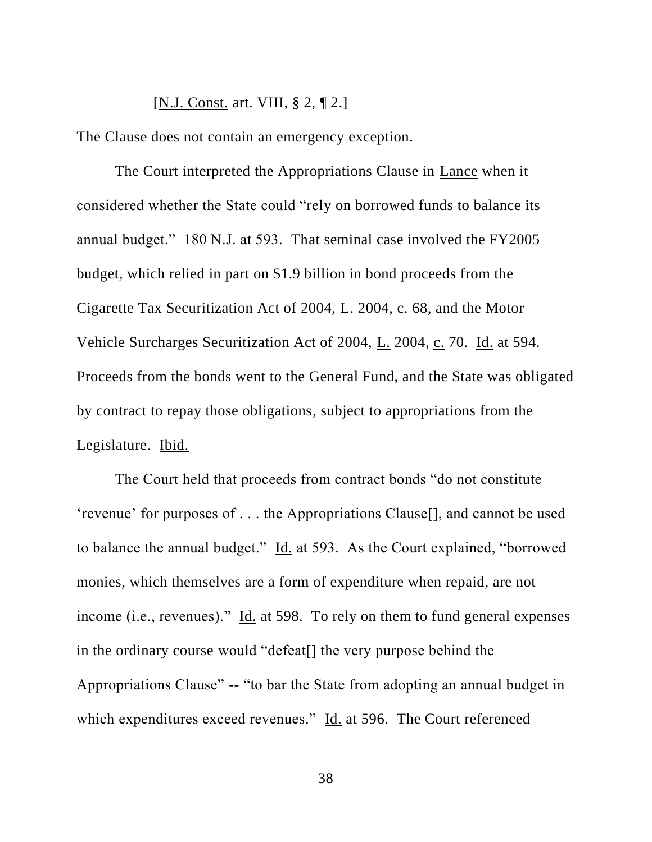[N.J. Const. art. VIII, § 2, ¶ 2.]

The Clause does not contain an emergency exception.

The Court interpreted the Appropriations Clause in Lance when it considered whether the State could "rely on borrowed funds to balance its annual budget." 180 N.J. at 593. That seminal case involved the FY2005 budget, which relied in part on \$1.9 billion in bond proceeds from the Cigarette Tax Securitization Act of 2004, L. 2004, c. 68, and the Motor Vehicle Surcharges Securitization Act of 2004, L. 2004, c. 70. Id. at 594. Proceeds from the bonds went to the General Fund, and the State was obligated by contract to repay those obligations, subject to appropriations from the Legislature. Ibid.

The Court held that proceeds from contract bonds "do not constitute 'revenue' for purposes of . . . the Appropriations Clause[], and cannot be used to balance the annual budget." Id. at 593. As the Court explained, "borrowed monies, which themselves are a form of expenditure when repaid, are not income (i.e., revenues)." Id. at 598. To rely on them to fund general expenses in the ordinary course would "defeat[] the very purpose behind the Appropriations Clause" -- "to bar the State from adopting an annual budget in which expenditures exceed revenues." Id. at 596. The Court referenced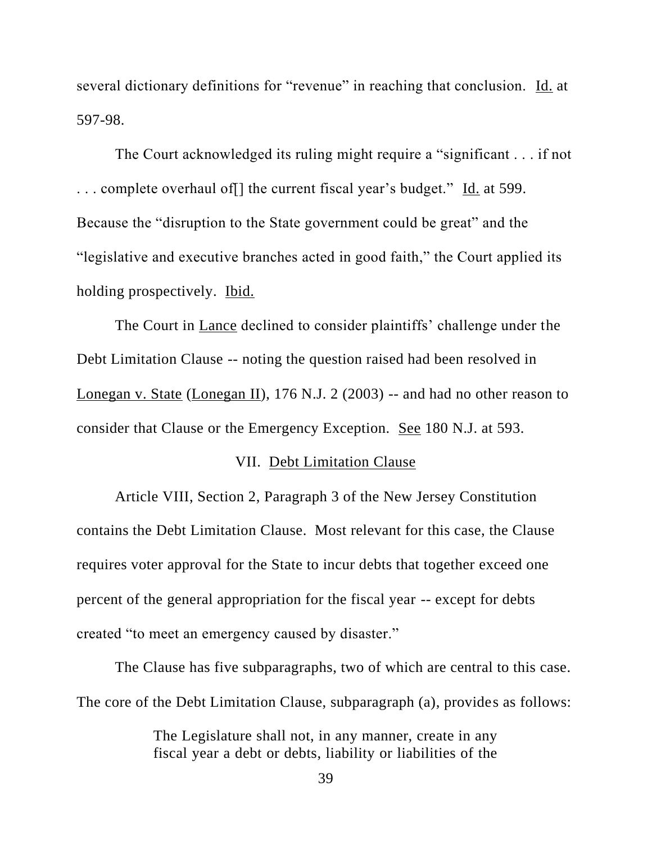several dictionary definitions for "revenue" in reaching that conclusion. Id. at 597-98.

The Court acknowledged its ruling might require a "significant . . . if not ... complete overhaul of  $\lceil \cdot \rceil$  the current fiscal year's budget." Id. at 599. Because the "disruption to the State government could be great" and the "legislative and executive branches acted in good faith," the Court applied its holding prospectively. Ibid.

The Court in Lance declined to consider plaintiffs' challenge under the Debt Limitation Clause -- noting the question raised had been resolved in Lonegan v. State (Lonegan II), 176 N.J. 2 (2003) -- and had no other reason to consider that Clause or the Emergency Exception. See 180 N.J. at 593.

# VII. Debt Limitation Clause

Article VIII, Section 2, Paragraph 3 of the New Jersey Constitution contains the Debt Limitation Clause. Most relevant for this case, the Clause requires voter approval for the State to incur debts that together exceed one percent of the general appropriation for the fiscal year -- except for debts created "to meet an emergency caused by disaster."

The Clause has five subparagraphs, two of which are central to this case. The core of the Debt Limitation Clause, subparagraph (a), provides as follows:

> The Legislature shall not, in any manner, create in any fiscal year a debt or debts, liability or liabilities of the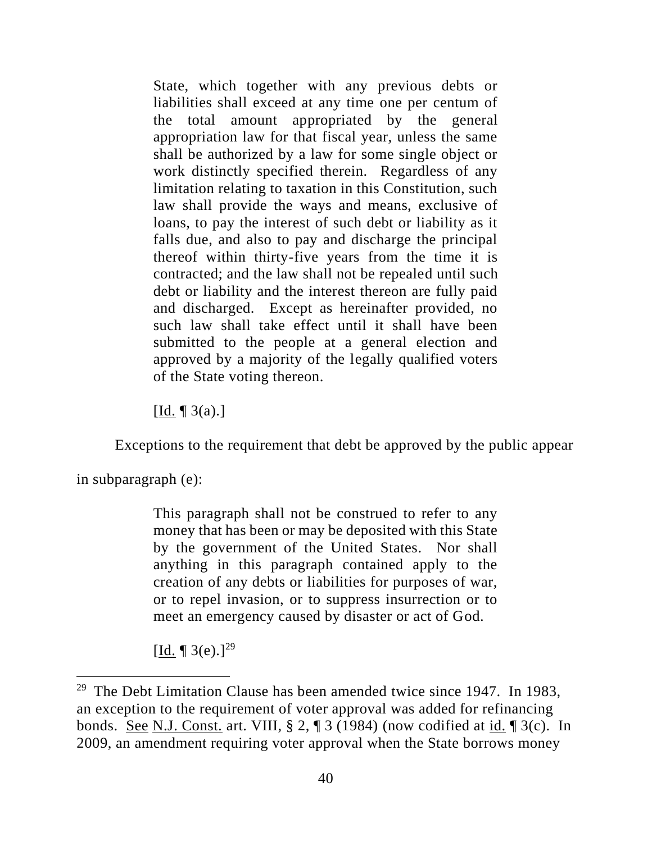State, which together with any previous debts or liabilities shall exceed at any time one per centum of the total amount appropriated by the general appropriation law for that fiscal year, unless the same shall be authorized by a law for some single object or work distinctly specified therein. Regardless of any limitation relating to taxation in this Constitution, such law shall provide the ways and means, exclusive of loans, to pay the interest of such debt or liability as it falls due, and also to pay and discharge the principal thereof within thirty-five years from the time it is contracted; and the law shall not be repealed until such debt or liability and the interest thereon are fully paid and discharged. Except as hereinafter provided, no such law shall take effect until it shall have been submitted to the people at a general election and approved by a majority of the legally qualified voters of the State voting thereon.

 $\left[$ Id.  $\right[$  3(a).]

Exceptions to the requirement that debt be approved by the public appear

in subparagraph (e):

This paragraph shall not be construed to refer to any money that has been or may be deposited with this State by the government of the United States. Nor shall anything in this paragraph contained apply to the creation of any debts or liabilities for purposes of war, or to repel invasion, or to suppress insurrection or to meet an emergency caused by disaster or act of God.

[Id. ¶ 3(e).]<sup>29</sup>

<sup>&</sup>lt;sup>29</sup> The Debt Limitation Clause has been amended twice since 1947. In 1983, an exception to the requirement of voter approval was added for refinancing bonds. See N.J. Const. art. VIII, § 2, ¶ 3 (1984) (now codified at id. ¶ 3(c). In 2009, an amendment requiring voter approval when the State borrows money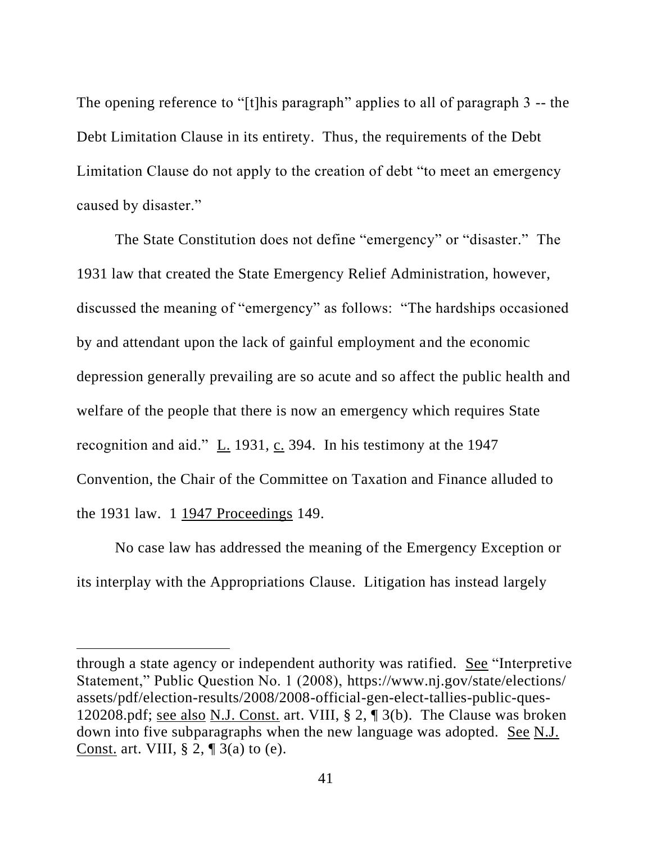The opening reference to "[t]his paragraph" applies to all of paragraph 3 -- the Debt Limitation Clause in its entirety. Thus, the requirements of the Debt Limitation Clause do not apply to the creation of debt "to meet an emergency caused by disaster."

The State Constitution does not define "emergency" or "disaster." The 1931 law that created the State Emergency Relief Administration, however, discussed the meaning of "emergency" as follows: "The hardships occasioned by and attendant upon the lack of gainful employment and the economic depression generally prevailing are so acute and so affect the public health and welfare of the people that there is now an emergency which requires State recognition and aid." L. 1931, c. 394. In his testimony at the 1947 Convention, the Chair of the Committee on Taxation and Finance alluded to the 1931 law. 1 1947 Proceedings 149.

No case law has addressed the meaning of the Emergency Exception or its interplay with the Appropriations Clause. Litigation has instead largely

through a state agency or independent authority was ratified. See "Interpretive Statement," Public Question No. 1 (2008), https://www.nj.gov/state/elections/ assets/pdf/election-results/2008/2008-official-gen-elect-tallies-public-ques-120208.pdf; see also N.J. Const. art. VIII, § 2, ¶ 3(b). The Clause was broken down into five subparagraphs when the new language was adopted. See N.J. Const. art. VIII,  $\S 2$ ,  $\P 3$ (a) to (e).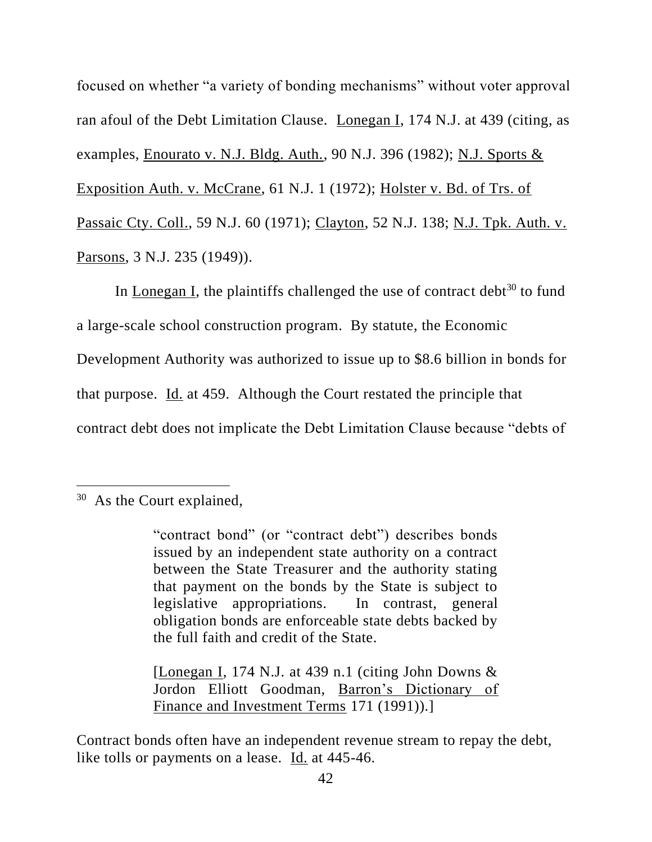focused on whether "a variety of bonding mechanisms" without voter approval ran afoul of the Debt Limitation Clause. Lonegan I, 174 N.J. at 439 (citing, as examples, Enourato v. N.J. Bldg. Auth., 90 N.J. 396 (1982); N.J. Sports & Exposition Auth. v. McCrane, 61 N.J. 1 (1972); Holster v. Bd. of Trs. of Passaic Cty. Coll., 59 N.J. 60 (1971); Clayton, 52 N.J. 138; N.J. Tpk. Auth. v. Parsons, 3 N.J. 235 (1949)).

In Lonegan I, the plaintiffs challenged the use of contract debt<sup>30</sup> to fund a large-scale school construction program. By statute, the Economic Development Authority was authorized to issue up to \$8.6 billion in bonds for that purpose. Id. at 459. Although the Court restated the principle that contract debt does not implicate the Debt Limitation Clause because "debts of

[Lonegan I, 174 N.J. at 439 n.1 (citing John Downs  $\&$ Jordon Elliott Goodman, Barron's Dictionary of Finance and Investment Terms 171 (1991)).]

Contract bonds often have an independent revenue stream to repay the debt, like tolls or payments on a lease. Id. at 445-46.

<sup>&</sup>lt;sup>30</sup> As the Court explained,

<sup>&</sup>quot;contract bond" (or "contract debt") describes bonds issued by an independent state authority on a contract between the State Treasurer and the authority stating that payment on the bonds by the State is subject to legislative appropriations. In contrast, general obligation bonds are enforceable state debts backed by the full faith and credit of the State.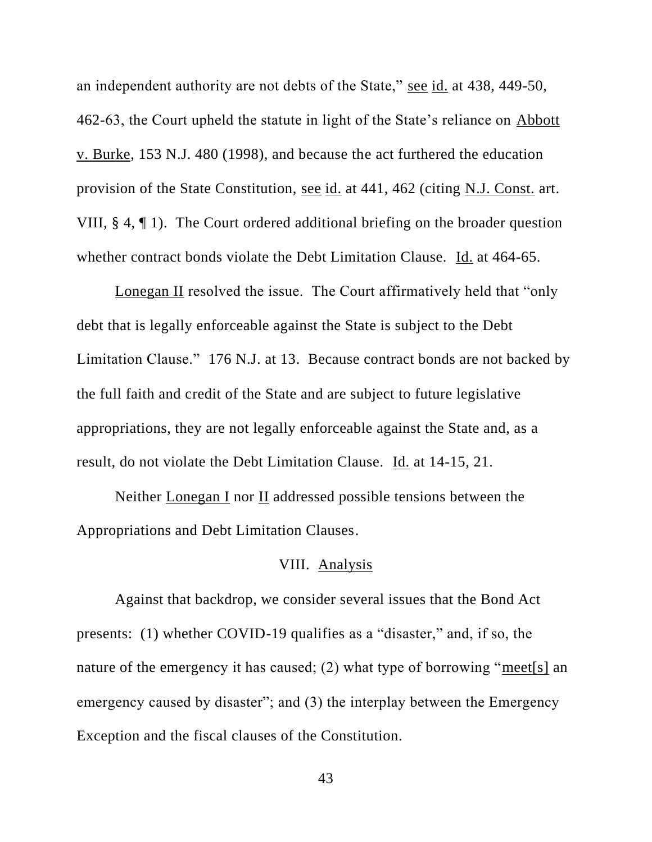an independent authority are not debts of the State," see id. at 438, 449-50, 462-63, the Court upheld the statute in light of the State's reliance on Abbott v. Burke, 153 N.J. 480 (1998), and because the act furthered the education provision of the State Constitution, see id. at 441, 462 (citing N.J. Const. art. VIII, § 4, ¶ 1). The Court ordered additional briefing on the broader question whether contract bonds violate the Debt Limitation Clause. Id. at 464-65.

Lonegan II resolved the issue. The Court affirmatively held that "only debt that is legally enforceable against the State is subject to the Debt Limitation Clause." 176 N.J. at 13. Because contract bonds are not backed by the full faith and credit of the State and are subject to future legislative appropriations, they are not legally enforceable against the State and, as a result, do not violate the Debt Limitation Clause. Id. at 14-15, 21.

Neither Lonegan I nor II addressed possible tensions between the Appropriations and Debt Limitation Clauses.

# VIII. Analysis

Against that backdrop, we consider several issues that the Bond Act presents: (1) whether COVID-19 qualifies as a "disaster," and, if so, the nature of the emergency it has caused; (2) what type of borrowing "meet[s] an emergency caused by disaster"; and (3) the interplay between the Emergency Exception and the fiscal clauses of the Constitution.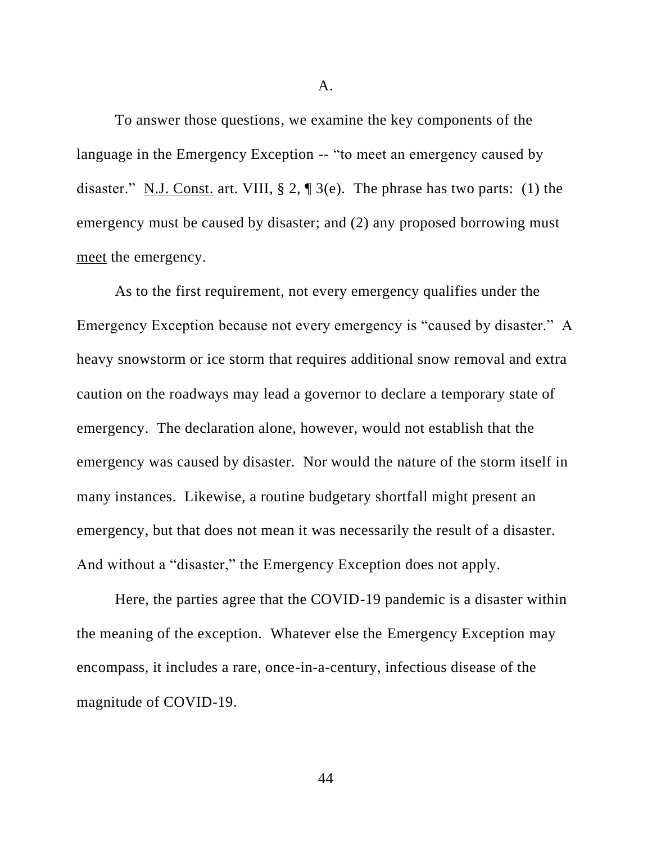A.

To answer those questions, we examine the key components of the language in the Emergency Exception -- "to meet an emergency caused by disaster." N.J. Const. art. VIII,  $\S 2$ ,  $\P 3(e)$ . The phrase has two parts: (1) the emergency must be caused by disaster; and (2) any proposed borrowing must meet the emergency.

As to the first requirement, not every emergency qualifies under the Emergency Exception because not every emergency is "caused by disaster." A heavy snowstorm or ice storm that requires additional snow removal and extra caution on the roadways may lead a governor to declare a temporary state of emergency. The declaration alone, however, would not establish that the emergency was caused by disaster. Nor would the nature of the storm itself in many instances. Likewise, a routine budgetary shortfall might present an emergency, but that does not mean it was necessarily the result of a disaster. And without a "disaster," the Emergency Exception does not apply.

Here, the parties agree that the COVID-19 pandemic is a disaster within the meaning of the exception. Whatever else the Emergency Exception may encompass, it includes a rare, once-in-a-century, infectious disease of the magnitude of COVID-19.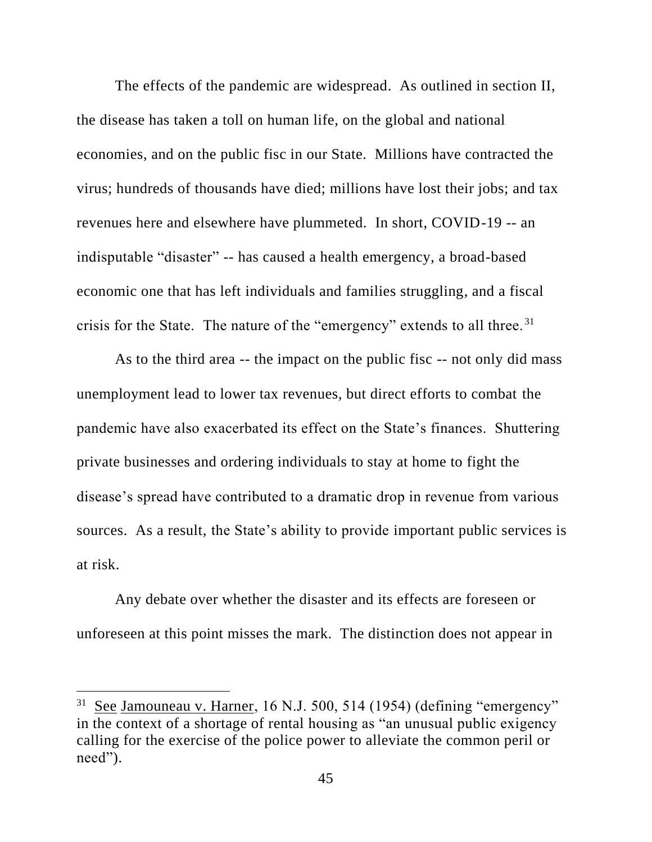The effects of the pandemic are widespread. As outlined in section II, the disease has taken a toll on human life, on the global and national economies, and on the public fisc in our State. Millions have contracted the virus; hundreds of thousands have died; millions have lost their jobs; and tax revenues here and elsewhere have plummeted. In short, COVID-19 -- an indisputable "disaster" -- has caused a health emergency, a broad-based economic one that has left individuals and families struggling, and a fiscal crisis for the State. The nature of the "emergency" extends to all three.<sup>31</sup>

As to the third area -- the impact on the public fisc -- not only did mass unemployment lead to lower tax revenues, but direct efforts to combat the pandemic have also exacerbated its effect on the State's finances. Shuttering private businesses and ordering individuals to stay at home to fight the disease's spread have contributed to a dramatic drop in revenue from various sources. As a result, the State's ability to provide important public services is at risk.

Any debate over whether the disaster and its effects are foreseen or unforeseen at this point misses the mark. The distinction does not appear in

<sup>&</sup>lt;sup>31</sup> See Jamouneau v. Harner, 16 N.J. 500, 514 (1954) (defining "emergency" in the context of a shortage of rental housing as "an unusual public exigency calling for the exercise of the police power to alleviate the common peril or need").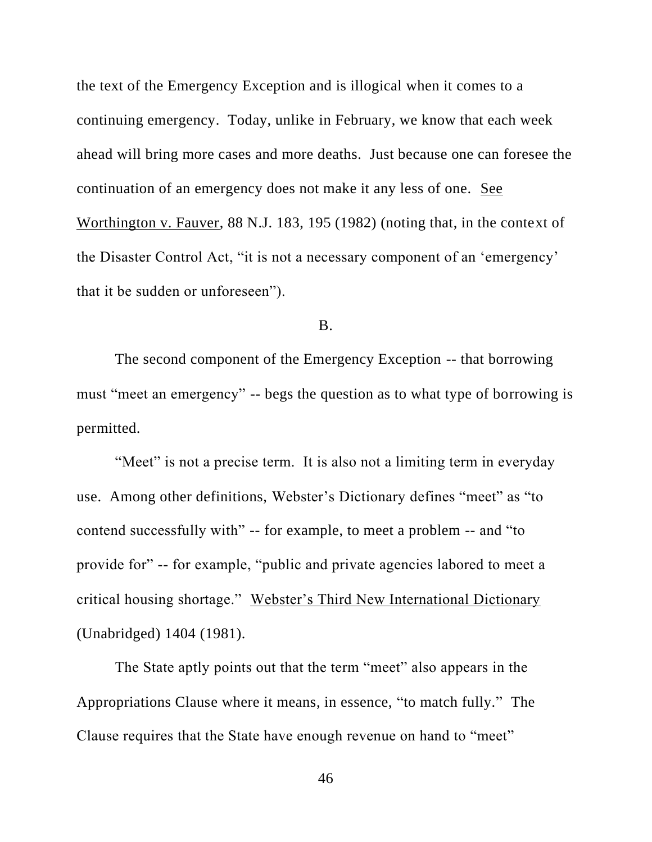the text of the Emergency Exception and is illogical when it comes to a continuing emergency. Today, unlike in February, we know that each week ahead will bring more cases and more deaths. Just because one can foresee the continuation of an emergency does not make it any less of one. See Worthington v. Fauver, 88 N.J. 183, 195 (1982) (noting that, in the context of the Disaster Control Act, "it is not a necessary component of an 'emergency' that it be sudden or unforeseen").

B.

The second component of the Emergency Exception -- that borrowing must "meet an emergency" -- begs the question as to what type of borrowing is permitted.

"Meet" is not a precise term. It is also not a limiting term in everyday use. Among other definitions, Webster's Dictionary defines "meet" as "to contend successfully with" -- for example, to meet a problem -- and "to provide for" -- for example, "public and private agencies labored to meet a critical housing shortage." Webster's Third New International Dictionary (Unabridged) 1404 (1981).

The State aptly points out that the term "meet" also appears in the Appropriations Clause where it means, in essence, "to match fully." The Clause requires that the State have enough revenue on hand to "meet"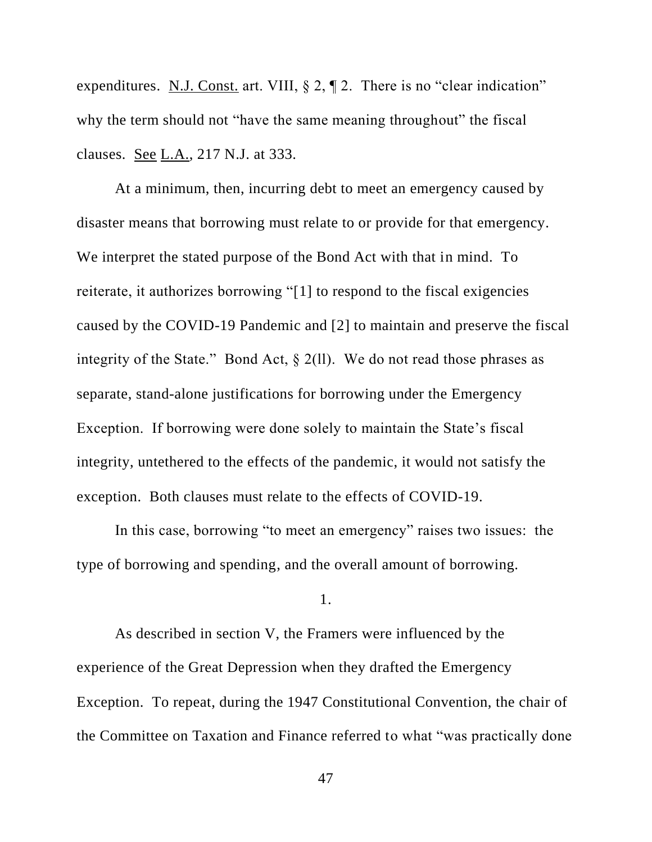expenditures. N.J. Const. art. VIII,  $\S 2$ ,  $\P 2$ . There is no "clear indication" why the term should not "have the same meaning throughout" the fiscal clauses. See L.A., 217 N.J. at 333.

At a minimum, then, incurring debt to meet an emergency caused by disaster means that borrowing must relate to or provide for that emergency. We interpret the stated purpose of the Bond Act with that in mind. To reiterate, it authorizes borrowing "[1] to respond to the fiscal exigencies caused by the COVID-19 Pandemic and [2] to maintain and preserve the fiscal integrity of the State." Bond Act,  $\S$  2(11). We do not read those phrases as separate, stand-alone justifications for borrowing under the Emergency Exception. If borrowing were done solely to maintain the State's fiscal integrity, untethered to the effects of the pandemic, it would not satisfy the exception. Both clauses must relate to the effects of COVID-19.

In this case, borrowing "to meet an emergency" raises two issues: the type of borrowing and spending, and the overall amount of borrowing.

1.

As described in section V, the Framers were influenced by the experience of the Great Depression when they drafted the Emergency Exception. To repeat, during the 1947 Constitutional Convention, the chair of the Committee on Taxation and Finance referred to what "was practically done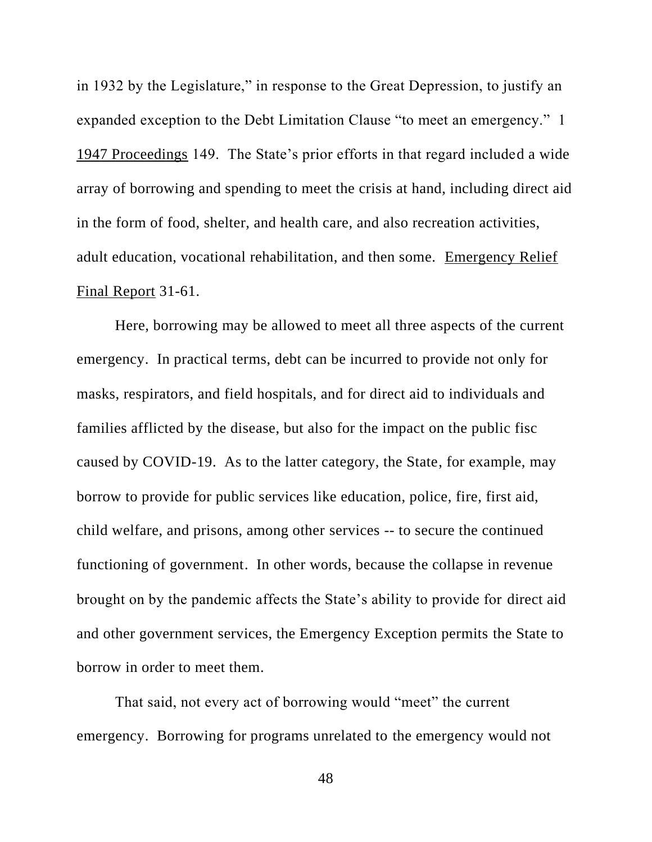in 1932 by the Legislature," in response to the Great Depression, to justify an expanded exception to the Debt Limitation Clause "to meet an emergency." 1 1947 Proceedings 149. The State's prior efforts in that regard included a wide array of borrowing and spending to meet the crisis at hand, including direct aid in the form of food, shelter, and health care, and also recreation activities, adult education, vocational rehabilitation, and then some. Emergency Relief Final Report 31-61.

Here, borrowing may be allowed to meet all three aspects of the current emergency. In practical terms, debt can be incurred to provide not only for masks, respirators, and field hospitals, and for direct aid to individuals and families afflicted by the disease, but also for the impact on the public fisc caused by COVID-19. As to the latter category, the State, for example, may borrow to provide for public services like education, police, fire, first aid, child welfare, and prisons, among other services -- to secure the continued functioning of government. In other words, because the collapse in revenue brought on by the pandemic affects the State's ability to provide for direct aid and other government services, the Emergency Exception permits the State to borrow in order to meet them.

That said, not every act of borrowing would "meet" the current emergency. Borrowing for programs unrelated to the emergency would not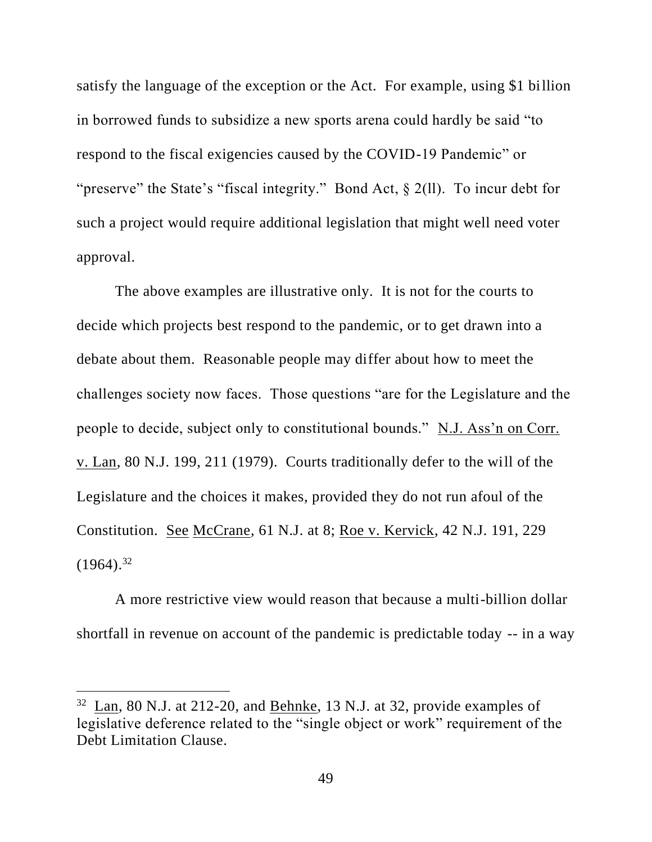satisfy the language of the exception or the Act. For example, using \$1 billion in borrowed funds to subsidize a new sports arena could hardly be said "to respond to the fiscal exigencies caused by the COVID-19 Pandemic" or "preserve" the State's "fiscal integrity." Bond Act, § 2(ll). To incur debt for such a project would require additional legislation that might well need voter approval.

The above examples are illustrative only. It is not for the courts to decide which projects best respond to the pandemic, or to get drawn into a debate about them. Reasonable people may differ about how to meet the challenges society now faces. Those questions "are for the Legislature and the people to decide, subject only to constitutional bounds." N.J. Ass'n on Corr. v. Lan, 80 N.J. 199, 211 (1979). Courts traditionally defer to the will of the Legislature and the choices it makes, provided they do not run afoul of the Constitution. See McCrane, 61 N.J. at 8; Roe v. Kervick, 42 N.J. 191, 229  $(1964)^{32}$ 

A more restrictive view would reason that because a multi-billion dollar shortfall in revenue on account of the pandemic is predictable today -- in a way

 $32$  Lan, 80 N.J. at 212-20, and Behnke, 13 N.J. at 32, provide examples of legislative deference related to the "single object or work" requirement of the Debt Limitation Clause.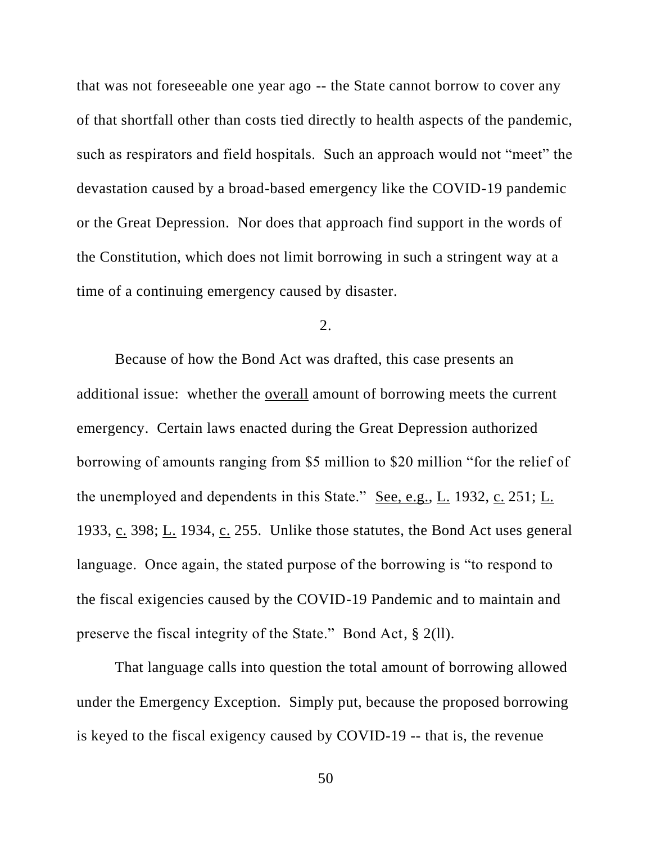that was not foreseeable one year ago -- the State cannot borrow to cover any of that shortfall other than costs tied directly to health aspects of the pandemic, such as respirators and field hospitals. Such an approach would not "meet" the devastation caused by a broad-based emergency like the COVID-19 pandemic or the Great Depression. Nor does that approach find support in the words of the Constitution, which does not limit borrowing in such a stringent way at a time of a continuing emergency caused by disaster.

2.

Because of how the Bond Act was drafted, this case presents an additional issue: whether the overall amount of borrowing meets the current emergency. Certain laws enacted during the Great Depression authorized borrowing of amounts ranging from \$5 million to \$20 million "for the relief of the unemployed and dependents in this State." See, e.g., L. 1932, c. 251; L. 1933, c. 398;  $\underline{L}$ . 1934, c. 255. Unlike those statutes, the Bond Act uses general language. Once again, the stated purpose of the borrowing is "to respond to the fiscal exigencies caused by the COVID-19 Pandemic and to maintain and preserve the fiscal integrity of the State." Bond Act, § 2(ll).

That language calls into question the total amount of borrowing allowed under the Emergency Exception. Simply put, because the proposed borrowing is keyed to the fiscal exigency caused by COVID-19 -- that is, the revenue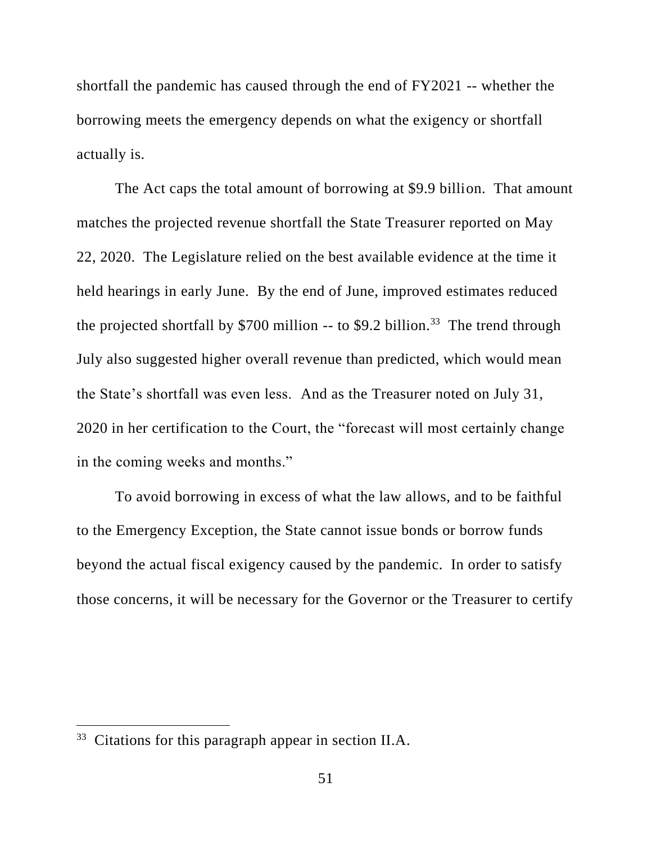shortfall the pandemic has caused through the end of FY2021 -- whether the borrowing meets the emergency depends on what the exigency or shortfall actually is.

The Act caps the total amount of borrowing at \$9.9 billion. That amount matches the projected revenue shortfall the State Treasurer reported on May 22, 2020. The Legislature relied on the best available evidence at the time it held hearings in early June. By the end of June, improved estimates reduced the projected shortfall by \$700 million  $-$  to \$9.2 billion.<sup>33</sup> The trend through July also suggested higher overall revenue than predicted, which would mean the State's shortfall was even less. And as the Treasurer noted on July 31, 2020 in her certification to the Court, the "forecast will most certainly change in the coming weeks and months."

To avoid borrowing in excess of what the law allows, and to be faithful to the Emergency Exception, the State cannot issue bonds or borrow funds beyond the actual fiscal exigency caused by the pandemic. In order to satisfy those concerns, it will be necessary for the Governor or the Treasurer to certify

 $33$  Citations for this paragraph appear in section II.A.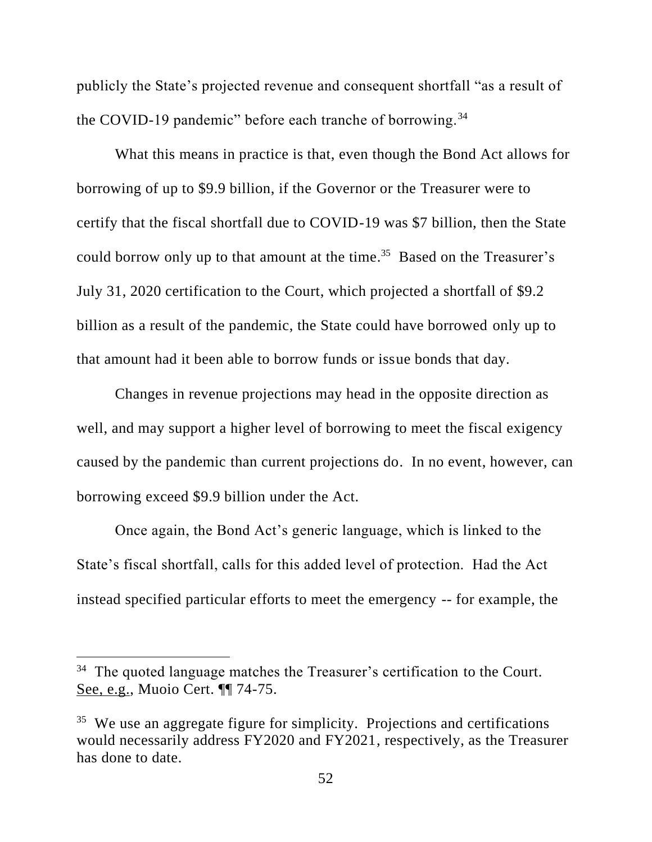publicly the State's projected revenue and consequent shortfall "as a result of the COVID-19 pandemic" before each tranche of borrowing.<sup>34</sup>

What this means in practice is that, even though the Bond Act allows for borrowing of up to \$9.9 billion, if the Governor or the Treasurer were to certify that the fiscal shortfall due to COVID-19 was \$7 billion, then the State could borrow only up to that amount at the time. 35 Based on the Treasurer's July 31, 2020 certification to the Court, which projected a shortfall of \$9.2 billion as a result of the pandemic, the State could have borrowed only up to that amount had it been able to borrow funds or issue bonds that day.

Changes in revenue projections may head in the opposite direction as well, and may support a higher level of borrowing to meet the fiscal exigency caused by the pandemic than current projections do. In no event, however, can borrowing exceed \$9.9 billion under the Act.

Once again, the Bond Act's generic language, which is linked to the State's fiscal shortfall, calls for this added level of protection. Had the Act instead specified particular efforts to meet the emergency -- for example, the

 $34$  The quoted language matches the Treasurer's certification to the Court. See, e.g., Muoio Cert. ¶¶ 74-75.

<sup>&</sup>lt;sup>35</sup> We use an aggregate figure for simplicity. Projections and certifications would necessarily address FY2020 and FY2021, respectively, as the Treasurer has done to date.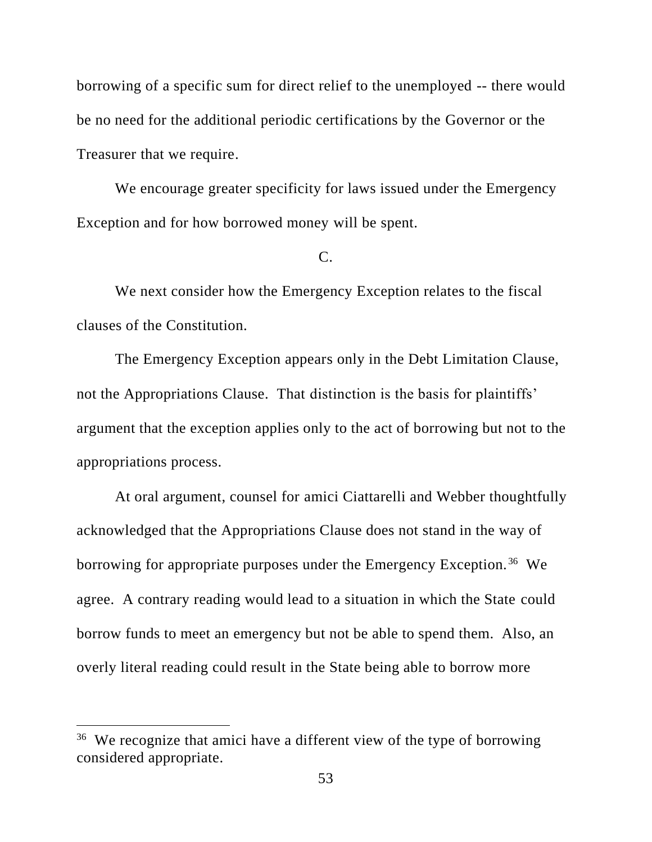borrowing of a specific sum for direct relief to the unemployed -- there would be no need for the additional periodic certifications by the Governor or the Treasurer that we require.

We encourage greater specificity for laws issued under the Emergency Exception and for how borrowed money will be spent.

# C.

We next consider how the Emergency Exception relates to the fiscal clauses of the Constitution.

The Emergency Exception appears only in the Debt Limitation Clause, not the Appropriations Clause. That distinction is the basis for plaintiffs' argument that the exception applies only to the act of borrowing but not to the appropriations process.

At oral argument, counsel for amici Ciattarelli and Webber thoughtfully acknowledged that the Appropriations Clause does not stand in the way of borrowing for appropriate purposes under the Emergency Exception.<sup>36</sup> We agree. A contrary reading would lead to a situation in which the State could borrow funds to meet an emergency but not be able to spend them. Also, an overly literal reading could result in the State being able to borrow more

<sup>&</sup>lt;sup>36</sup> We recognize that amici have a different view of the type of borrowing considered appropriate.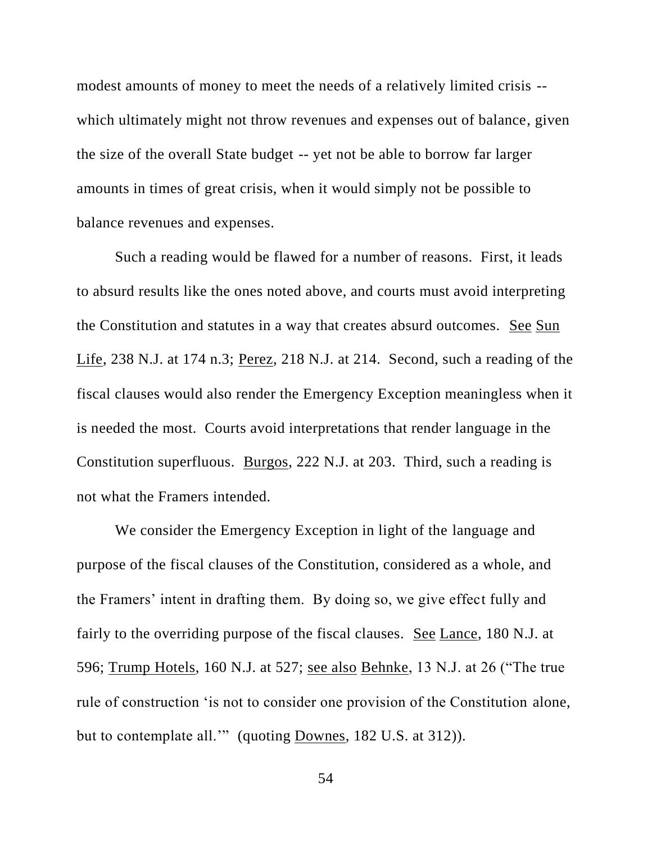modest amounts of money to meet the needs of a relatively limited crisis - which ultimately might not throw revenues and expenses out of balance, given the size of the overall State budget -- yet not be able to borrow far larger amounts in times of great crisis, when it would simply not be possible to balance revenues and expenses.

Such a reading would be flawed for a number of reasons. First, it leads to absurd results like the ones noted above, and courts must avoid interpreting the Constitution and statutes in a way that creates absurd outcomes. See Sun Life, 238 N.J. at 174 n.3; Perez, 218 N.J. at 214. Second, such a reading of the fiscal clauses would also render the Emergency Exception meaningless when it is needed the most. Courts avoid interpretations that render language in the Constitution superfluous. Burgos, 222 N.J. at 203. Third, such a reading is not what the Framers intended.

We consider the Emergency Exception in light of the language and purpose of the fiscal clauses of the Constitution, considered as a whole, and the Framers' intent in drafting them. By doing so, we give effect fully and fairly to the overriding purpose of the fiscal clauses. See Lance, 180 N.J. at 596; Trump Hotels, 160 N.J. at 527; see also Behnke, 13 N.J. at 26 ("The true rule of construction 'is not to consider one provision of the Constitution alone, but to contemplate all.'" (quoting Downes, 182 U.S. at 312)).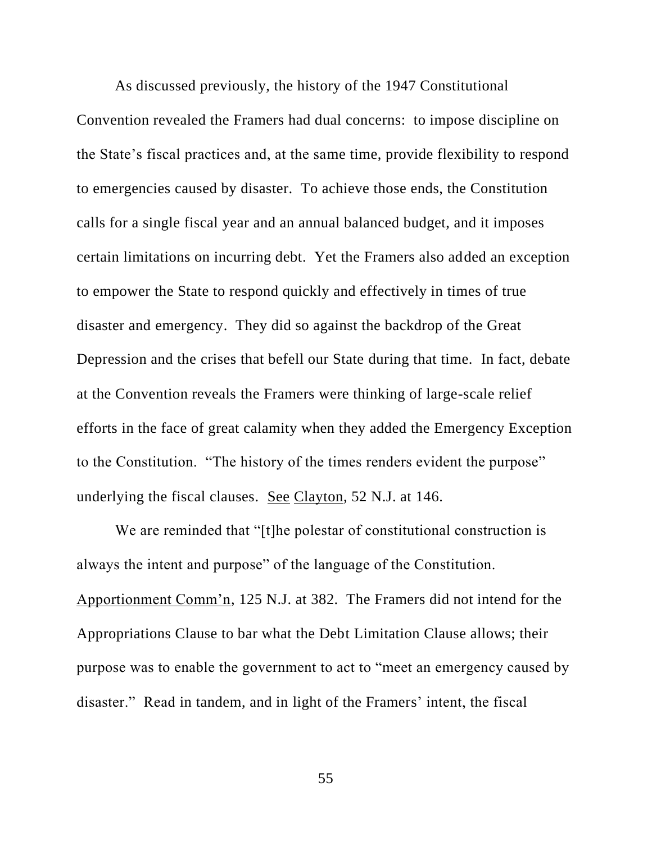As discussed previously, the history of the 1947 Constitutional Convention revealed the Framers had dual concerns: to impose discipline on the State's fiscal practices and, at the same time, provide flexibility to respond to emergencies caused by disaster. To achieve those ends, the Constitution calls for a single fiscal year and an annual balanced budget, and it imposes certain limitations on incurring debt. Yet the Framers also added an exception to empower the State to respond quickly and effectively in times of true disaster and emergency. They did so against the backdrop of the Great Depression and the crises that befell our State during that time. In fact, debate at the Convention reveals the Framers were thinking of large-scale relief efforts in the face of great calamity when they added the Emergency Exception to the Constitution. "The history of the times renders evident the purpose" underlying the fiscal clauses. See Clayton, 52 N.J. at 146.

We are reminded that "[t]he polestar of constitutional construction is always the intent and purpose" of the language of the Constitution. Apportionment Comm'n, 125 N.J. at 382. The Framers did not intend for the Appropriations Clause to bar what the Debt Limitation Clause allows; their purpose was to enable the government to act to "meet an emergency caused by disaster." Read in tandem, and in light of the Framers' intent, the fiscal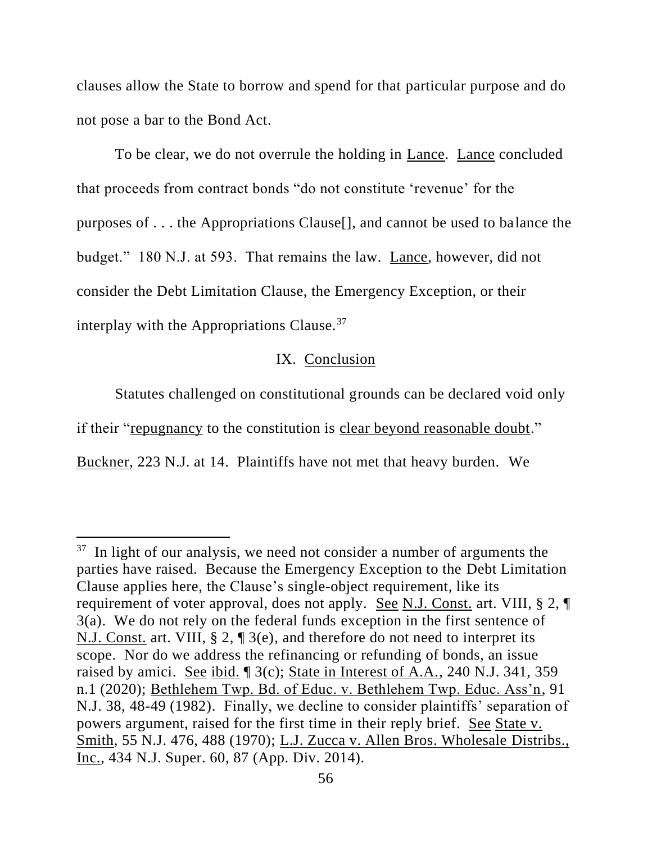clauses allow the State to borrow and spend for that particular purpose and do not pose a bar to the Bond Act.

To be clear, we do not overrule the holding in Lance. Lance concluded that proceeds from contract bonds "do not constitute 'revenue' for the purposes of . . . the Appropriations Clause[], and cannot be used to balance the budget." 180 N.J. at 593. That remains the law. Lance, however, did not consider the Debt Limitation Clause, the Emergency Exception, or their interplay with the Appropriations Clause.<sup>37</sup>

# IX. Conclusion

Statutes challenged on constitutional grounds can be declared void only if their "repugnancy to the constitution is clear beyond reasonable doubt." Buckner, 223 N.J. at 14. Plaintiffs have not met that heavy burden. We

<sup>&</sup>lt;sup>37</sup> In light of our analysis, we need not consider a number of arguments the parties have raised. Because the Emergency Exception to the Debt Limitation Clause applies here, the Clause's single-object requirement, like its requirement of voter approval, does not apply. See N.J. Const. art. VIII, § 2, ¶ 3(a). We do not rely on the federal funds exception in the first sentence of N.J. Const. art. VIII, § 2, ¶ 3(e), and therefore do not need to interpret its scope. Nor do we address the refinancing or refunding of bonds, an issue raised by amici. See ibid. ¶ 3(c); State in Interest of A.A., 240 N.J. 341, 359 n.1 (2020); Bethlehem Twp. Bd. of Educ. v. Bethlehem Twp. Educ. Ass'n, 91 N.J. 38, 48-49 (1982). Finally, we decline to consider plaintiffs' separation of powers argument, raised for the first time in their reply brief. See State v. Smith, 55 N.J. 476, 488 (1970); L.J. Zucca v. Allen Bros. Wholesale Distribs., Inc., 434 N.J. Super. 60, 87 (App. Div. 2014).